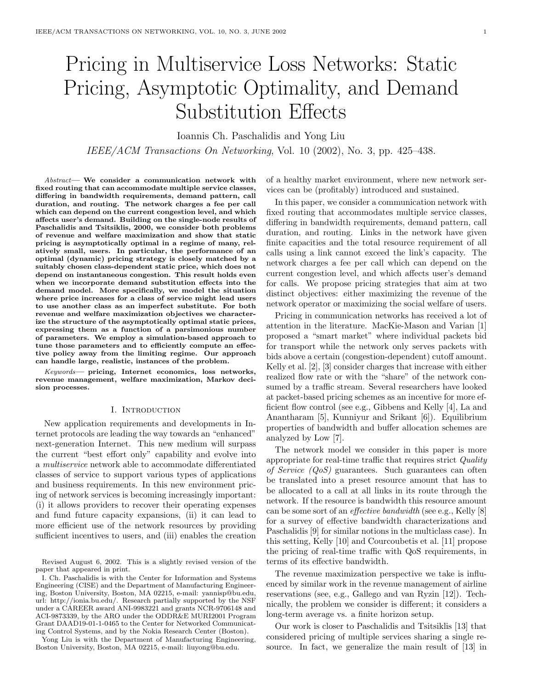# Pricing in Multiservice Loss Networks: Static Pricing, Asymptotic Optimality, and Demand Substitution Effects

Ioannis Ch. Paschalidis and Yong Liu

IEEE/ACM Transactions On Networking, Vol. 10 (2002), No. 3, pp. 425–438.

Abstract— We consider a communication network with fixed routing that can accommodate multiple service classes, differing in bandwidth requirements, demand pattern, call duration, and routing. The network charges a fee per call which can depend on the current congestion level, and which affects user's demand. Building on the single-node results of Paschalidis and Tsitsiklis, 2000, we consider both problems of revenue and welfare maximization and show that static pricing is asymptotically optimal in a regime of many, relatively small, users. In particular, the performance of an optimal (dynamic) pricing strategy is closely matched by a suitably chosen class-dependent static price, which does not depend on instantaneous congestion. This result holds even when we incorporate demand substitution effects into the demand model. More specifically, we model the situation where price increases for a class of service might lead users to use another class as an imperfect substitute. For both revenue and welfare maximization objectives we characterize the structure of the asymptotically optimal static prices, expressing them as a function of a parsimonious number of parameters. We employ a simulation-based approach to tune those parameters and to efficiently compute an effective policy away from the limiting regime. Our approach can handle large, realistic, instances of the problem.

Keywords— pricing, Internet economics, loss networks, revenue management, welfare maximization, Markov decision processes.

#### I. Introduction

New application requirements and developments in Internet protocols are leading the way towards an "enhanced" next-generation Internet. This new medium will surpass the current "best effort only" capability and evolve into a multiservice network able to accommodate differentiated classes of service to support various types of applications and business requirements. In this new environment pricing of network services is becoming increasingly important: (i) it allows providers to recover their operating expenses and fund future capacity expansions, (ii) it can lead to more efficient use of the network resources by providing sufficient incentives to users, and (iii) enables the creation

Revised August 6, 2002. This is a slightly revised version of the paper that appeared in print.

I. Ch. Paschalidis is with the Center for Information and Systems Engineering (CISE) and the Department of Manufacturing Engineering, Boston University, Boston, MA 02215, e-mail: yannisp@bu.edu, url: http://ionia.bu.edu/. Research partially supported by the NSF under a CAREER award ANI-9983221 and grants NCR-9706148 and ACI-9873339, by the ARO under the ODDR&E MURI2001 Program Grant DAAD19-01-1-0465 to the Center for Networked Communicating Control Systems, and by the Nokia Research Center (Boston).

Yong Liu is with the Department of Manufacturing Engineering, Boston University, Boston, MA 02215, e-mail: liuyong@bu.edu.

of a healthy market environment, where new network services can be (profitably) introduced and sustained.

In this paper, we consider a communication network with fixed routing that accommodates multiple service classes, differing in bandwidth requirements, demand pattern, call duration, and routing. Links in the network have given finite capacities and the total resource requirement of all calls using a link cannot exceed the link's capacity. The network charges a fee per call which can depend on the current congestion level, and which affects user's demand for calls. We propose pricing strategies that aim at two distinct objectives: either maximizing the revenue of the network operator or maximizing the social welfare of users.

Pricing in communication networks has received a lot of attention in the literature. MacKie-Mason and Varian [1] proposed a "smart market" where individual packets bid for transport while the network only serves packets with bids above a certain (congestion-dependent) cutoff amount. Kelly et al. [2], [3] consider charges that increase with either realized flow rate or with the "share" of the network consumed by a traffic stream. Several researchers have looked at packet-based pricing schemes as an incentive for more efficient flow control (see e.g., Gibbens and Kelly [4], La and Anantharam [5], Kunniyur and Srikant [6]). Equilibrium properties of bandwidth and buffer allocation schemes are analyzed by Low [7].

The network model we consider in this paper is more appropriate for real-time traffic that requires strict Quality of Service  $(QoS)$  guarantees. Such guarantees can often be translated into a preset resource amount that has to be allocated to a call at all links in its route through the network. If the resource is bandwidth this resource amount can be some sort of an effective bandwidth (see e.g., Kelly [8] for a survey of effective bandwidth characterizations and Paschalidis [9] for similar notions in the multiclass case). In this setting, Kelly [10] and Courcoubetis et al. [11] propose the pricing of real-time traffic with QoS requirements, in terms of its effective bandwidth.

The revenue maximization perspective we take is influenced by similar work in the revenue management of airline reservations (see, e.g., Gallego and van Ryzin [12]). Technically, the problem we consider is different; it considers a long-term average vs. a finite horizon setup.

Our work is closer to Paschalidis and Tsitsiklis [13] that considered pricing of multiple services sharing a single resource. In fact, we generalize the main result of [13] in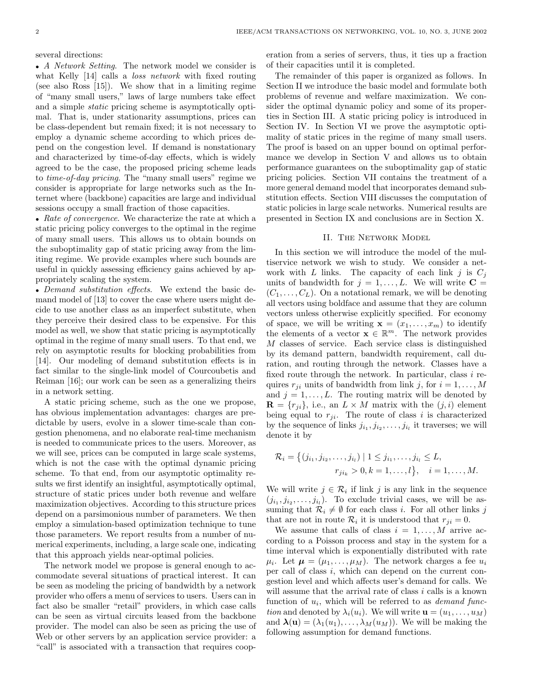several directions:

• A Network Setting. The network model we consider is what Kelly [14] calls a loss network with fixed routing (see also Ross [15]). We show that in a limiting regime of "many small users," laws of large numbers take effect and a simple static pricing scheme is asymptotically optimal. That is, under stationarity assumptions, prices can be class-dependent but remain fixed; it is not necessary to employ a dynamic scheme according to which prices depend on the congestion level. If demand is nonstationary and characterized by time-of-day effects, which is widely agreed to be the case, the proposed pricing scheme leads to time-of-day pricing. The "many small users" regime we consider is appropriate for large networks such as the Internet where (backbone) capacities are large and individual sessions occupy a small fraction of those capacities.

• Rate of convergence. We characterize the rate at which a static pricing policy converges to the optimal in the regime of many small users. This allows us to obtain bounds on the suboptimality gap of static pricing away from the limiting regime. We provide examples where such bounds are useful in quickly assessing efficiency gains achieved by appropriately scaling the system.

• Demand substitution effects. We extend the basic demand model of [13] to cover the case where users might decide to use another class as an imperfect substitute, when they perceive their desired class to be expensive. For this model as well, we show that static pricing is asymptotically optimal in the regime of many small users. To that end, we rely on asymptotic results for blocking probabilities from [14]. Our modeling of demand substitution effects is in fact similar to the single-link model of Courcoubetis and Reiman [16]; our work can be seen as a generalizing theirs in a network setting.

A static pricing scheme, such as the one we propose, has obvious implementation advantages: charges are predictable by users, evolve in a slower time-scale than congestion phenomena, and no elaborate real-time mechanism is needed to communicate prices to the users. Moreover, as we will see, prices can be computed in large scale systems, which is not the case with the optimal dynamic pricing scheme. To that end, from our asymptotic optimality results we first identify an insightful, asymptotically optimal, structure of static prices under both revenue and welfare maximization objectives. According to this structure prices depend on a parsimonious number of parameters. We then employ a simulation-based optimization technique to tune those parameters. We report results from a number of numerical experiments, including, a large scale one, indicating that this approach yields near-optimal policies.

The network model we propose is general enough to accommodate several situations of practical interest. It can be seen as modeling the pricing of bandwidth by a network provider who offers a menu of services to users. Users can in fact also be smaller "retail" providers, in which case calls can be seen as virtual circuits leased from the backbone provider. The model can also be seen as pricing the use of Web or other servers by an application service provider: a "call" is associated with a transaction that requires coop-

eration from a series of servers, thus, it ties up a fraction of their capacities until it is completed.

The remainder of this paper is organized as follows. In Section II we introduce the basic model and formulate both problems of revenue and welfare maximization. We consider the optimal dynamic policy and some of its properties in Section III. A static pricing policy is introduced in Section IV. In Section VI we prove the asymptotic optimality of static prices in the regime of many small users. The proof is based on an upper bound on optimal performance we develop in Section V and allows us to obtain performance guarantees on the suboptimality gap of static pricing policies. Section VII contains the treatment of a more general demand model that incorporates demand substitution effects. Section VIII discusses the computation of static policies in large scale networks. Numerical results are presented in Section IX and conclusions are in Section X.

#### II. THE NETWORK MODEL

In this section we will introduce the model of the multiservice network we wish to study. We consider a network with L links. The capacity of each link j is  $C_i$ units of bandwidth for  $j = 1, \ldots, L$ . We will write  $C =$  $(C_1, \ldots, C_L)$ . On a notational remark, we will be denoting all vectors using boldface and assume that they are column vectors unless otherwise explicitly specified. For economy of space, we will be writing  $\mathbf{x} = (x_1, \ldots, x_m)$  to identify the elements of a vector  $\mathbf{x} \in \mathbb{R}^m$ . The network provides M classes of service. Each service class is distinguished by its demand pattern, bandwidth requirement, call duration, and routing through the network. Classes have a fixed route through the network. In particular, class  $i$  requires  $r_{ji}$  units of bandwidth from link j, for  $i = 1, \ldots, M$ and  $j = 1, \ldots, L$ . The routing matrix will be denoted by  $\mathbf{R} = \{r_{ji}\}\text{, i.e., an } L \times M \text{ matrix with the } (j,i) \text{ element}$ being equal to  $r_{ji}$ . The route of class i is characterized by the sequence of links  $j_{i_1}, j_{i_2}, \ldots, j_{i_l}$  it traverses; we will denote it by

$$
\mathcal{R}_{i} = \{ (j_{i_1}, j_{i_2}, \dots, j_{i_l}) \mid 1 \leq j_{i_1}, \dots, j_{i_l} \leq L, \nr_{j_{i_k}} > 0, k = 1, \dots, l \}, \quad i = 1, \dots, M.
$$

We will write  $j \in \mathcal{R}_i$  if link j is any link in the sequence  $(j_{i_1}, j_{i_2}, \ldots, j_{i_l})$ . To exclude trivial cases, we will be assuming that  $\mathcal{R}_i \neq \emptyset$  for each class i. For all other links j that are not in route  $\mathcal{R}_i$  it is understood that  $r_{ji} = 0$ .

We assume that calls of class  $i = 1, \ldots, M$  arrive according to a Poisson process and stay in the system for a time interval which is exponentially distributed with rate  $\mu_i$ . Let  $\mu = (\mu_1, \ldots, \mu_M)$ . The network charges a fee  $u_i$ per call of class i, which can depend on the current congestion level and which affects user's demand for calls. We will assume that the arrival rate of class i calls is a known function of  $u_i$ , which will be referred to as *demand function* and denoted by  $\lambda_i(u_i)$ . We will write  $\mathbf{u} = (u_1, \dots, u_M)$ and  $\mathbf{\lambda}(\mathbf{u}) = (\lambda_1(u_1), \dots, \lambda_M(u_M))$ . We will be making the following assumption for demand functions.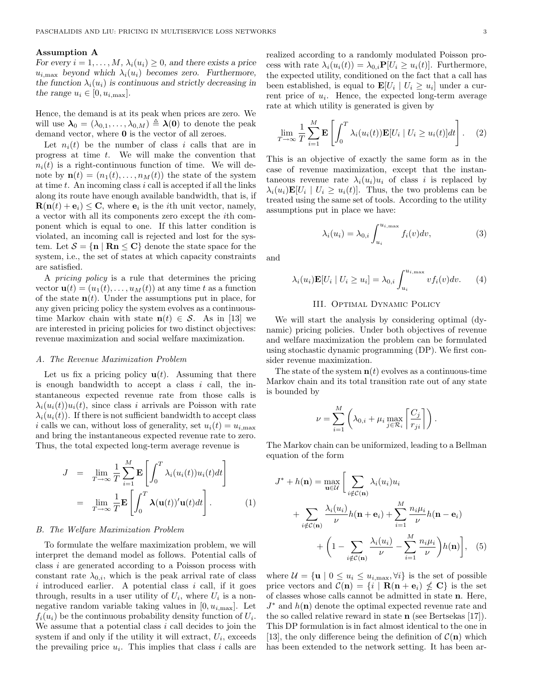#### Assumption A

For every  $i = 1, ..., M$ ,  $\lambda_i(u_i) \geq 0$ , and there exists a price  $u_{i,\text{max}}$  beyond which  $\lambda_i(u_i)$  becomes zero. Furthermore, the function  $\lambda_i(u_i)$  is continuous and strictly decreasing in the range  $u_i \in [0, u_{i, \text{max}}]$ .

Hence, the demand is at its peak when prices are zero. We will use  $\lambda_0 = (\lambda_{0,1}, \ldots, \lambda_{0,M}) \triangleq \lambda(0)$  to denote the peak demand vector, where  $\boldsymbol{0}$  is the vector of all zeroes.

Let  $n_i(t)$  be the number of class i calls that are in progress at time  $t$ . We will make the convention that  $n_i(t)$  is a right-continuous function of time. We will denote by  $\mathbf{n}(t) = (n_1(t), \ldots, n_M(t))$  the state of the system at time  $t$ . An incoming class  $i$  call is accepted if all the links along its route have enough available bandwidth, that is, if  $\mathbf{R}(\mathbf{n}(t) + \mathbf{e}_i) \leq \mathbf{C}$ , where  $\mathbf{e}_i$  is the *i*th unit vector, namely, a vector with all its components zero except the ith component which is equal to one. If this latter condition is violated, an incoming call is rejected and lost for the system. Let  $S = \{n \mid Rn \leq C\}$  denote the state space for the system, i.e., the set of states at which capacity constraints are satisfied.

A pricing policy is a rule that determines the pricing vector  $\mathbf{u}(t) = (u_1(t), \dots, u_M(t))$  at any time t as a function of the state  $\mathbf{n}(t)$ . Under the assumptions put in place, for any given pricing policy the system evolves as a continuoustime Markov chain with state  $n(t) \in S$ . As in [13] we are interested in pricing policies for two distinct objectives: revenue maximization and social welfare maximization.

#### A. The Revenue Maximization Problem

Let us fix a pricing policy  $\mathbf{u}(t)$ . Assuming that there is enough bandwidth to accept a class  $i$  call, the instantaneous expected revenue rate from those calls is  $\lambda_i(u_i(t))u_i(t)$ , since class i arrivals are Poisson with rate  $\lambda_i(u_i(t))$ . If there is not sufficient bandwidth to accept class i calls we can, without loss of generality, set  $u_i(t) = u_{i,\text{max}}$ and bring the instantaneous expected revenue rate to zero. Thus, the total expected long-term average revenue is

$$
J = \lim_{T \to \infty} \frac{1}{T} \sum_{i=1}^{M} \mathbf{E} \left[ \int_{0}^{T} \lambda_{i}(u_{i}(t)) u_{i}(t) dt \right]
$$

$$
= \lim_{T \to \infty} \frac{1}{T} \mathbf{E} \left[ \int_{0}^{T} \lambda(\mathbf{u}(t))' \mathbf{u}(t) dt \right]. \tag{1}
$$

#### B. The Welfare Maximization Problem

To formulate the welfare maximization problem, we will interpret the demand model as follows. Potential calls of class i are generated according to a Poisson process with constant rate  $\lambda_{0,i}$ , which is the peak arrival rate of class i introduced earlier. A potential class i call, if it goes through, results in a user utility of  $U_i$ , where  $U_i$  is a nonnegative random variable taking values in  $[0, u_{i, \text{max}}]$ . Let  $f_i(u_i)$  be the continuous probability density function of  $U_i$ . We assume that a potential class  $i$  call decides to join the system if and only if the utility it will extract,  $U_i$ , exceeds the prevailing price  $u_i$ . This implies that class i calls are

realized according to a randomly modulated Poisson process with rate  $\lambda_i(u_i(t)) = \lambda_{0,i} \mathbf{P}[U_i \geq u_i(t)]$ . Furthermore, the expected utility, conditioned on the fact that a call has been established, is equal to  $\mathbf{E}[U_i | U_i \geq u_i]$  under a current price of  $u_i$ . Hence, the expected long-term average rate at which utility is generated is given by

$$
\lim_{T \to \infty} \frac{1}{T} \sum_{i=1}^{M} \mathbf{E} \left[ \int_{0}^{T} \lambda_{i}(u_{i}(t)) \mathbf{E}[U_{i} | U_{i} \geq u_{i}(t)] dt \right].
$$
 (2)

This is an objective of exactly the same form as in the case of revenue maximization, except that the instantaneous revenue rate  $\lambda_i(u_i)u_i$  of class i is replaced by  $\lambda_i(u_i) \mathbf{E}[U_i \mid U_i \geq u_i(t)]$ . Thus, the two problems can be treated using the same set of tools. According to the utility assumptions put in place we have:

$$
\lambda_i(u_i) = \lambda_{0,i} \int_{u_i}^{u_{i,\max}} f_i(v) dv,
$$
\n(3)

and

$$
\lambda_i(u_i)\mathbf{E}[U_i \mid U_i \ge u_i] = \lambda_{0,i} \int_{u_i}^{u_{i,\max}} v f_i(v) dv.
$$
 (4)

#### III. Optimal Dynamic Policy

We will start the analysis by considering optimal (dynamic) pricing policies. Under both objectives of revenue and welfare maximization the problem can be formulated using stochastic dynamic programming (DP). We first consider revenue maximization.

The state of the system  $\mathbf{n}(t)$  evolves as a continuous-time Markov chain and its total transition rate out of any state is bounded by

$$
\nu = \sum_{i=1}^{M} \left( \lambda_{0,i} + \mu_i \max_{j \in \mathcal{R}_i} \left\lceil \frac{C_j}{r_{ji}} \right\rceil \right).
$$

The Markov chain can be uniformized, leading to a Bellman equation of the form

$$
J^* + h(\mathbf{n}) = \max_{\mathbf{u} \in \mathcal{U}} \left[ \sum_{i \notin \mathcal{C}(\mathbf{n})} \lambda_i(u_i) u_i + \sum_{i \notin \mathcal{C}(\mathbf{n})} \frac{\lambda_i(u_i)}{\nu} h(\mathbf{n} + \mathbf{e}_i) + \sum_{i=1}^M \frac{n_i \mu_i}{\nu} h(\mathbf{n} - \mathbf{e}_i) + \left( 1 - \sum_{i \notin \mathcal{C}(\mathbf{n})} \frac{\lambda_i(u_i)}{\nu} - \sum_{i=1}^M \frac{n_i \mu_i}{\nu} \right) h(\mathbf{n}) \right], \quad (5)
$$

where  $\mathcal{U} = {\mathbf{u} \mid 0 \leq u_i \leq u_{i,\text{max}}, \forall i}$  is the set of possible price vectors and  $\mathcal{C}(\mathbf{n}) = \{i \mid \mathbf{R}(\mathbf{n} + \mathbf{e}_i) \not\leq \mathbf{C}\}\$ is the set of classes whose calls cannot be admitted in state n. Here,  $J^*$  and  $h(\mathbf{n})$  denote the optimal expected revenue rate and the so called relative reward in state n (see Bertsekas [17]). This DP formulation is in fact almost identical to the one in [13], the only difference being the definition of  $\mathcal{C}(\mathbf{n})$  which has been extended to the network setting. It has been ar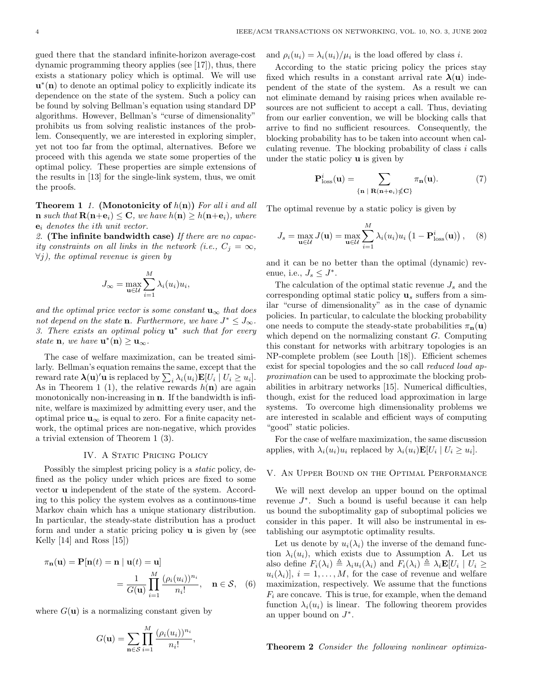gued there that the standard infinite-horizon average-cost dynamic programming theory applies (see [17]), thus, there exists a stationary policy which is optimal. We will use  $\mathbf{u}^*(\mathbf{n})$  to denote an optimal policy to explicitly indicate its dependence on the state of the system. Such a policy can be found by solving Bellman's equation using standard DP algorithms. However, Bellman's "curse of dimensionality" prohibits us from solving realistic instances of the problem. Consequently, we are interested in exploring simpler, yet not too far from the optimal, alternatives. Before we proceed with this agenda we state some properties of the optimal policy. These properties are simple extensions of the results in [13] for the single-link system, thus, we omit the proofs.

**Theorem 1** 1. (Monotonicity of  $h(n)$ ) For all i and all  $\mathbf{n}$  such that  $\mathbf{R}(\mathbf{n}+\mathbf{e}_i) \leq \mathbf{C}$ , we have  $h(\mathbf{n}) \geq h(\mathbf{n}+\mathbf{e}_i)$ , where  $e_i$  denotes the ith unit vector.

2. (The infinite bandwidth case) If there are no capacity constraints on all links in the network (i.e.,  $C_i = \infty$ ,  $\forall j$ ), the optimal revenue is given by

$$
J_{\infty} = \max_{\mathbf{u} \in \mathcal{U}} \sum_{i=1}^{M} \lambda_i(u_i) u_i,
$$

and the optimal price vector is some constant  $\mathbf{u}_{\infty}$  that does not depend on the state **n**. Furthermore, we have  $J^* \leq J_{\infty}$ . 3. There exists an optimal policy  $\mathbf{u}^*$  such that for every state **n**, we have  $\mathbf{u}^*(\mathbf{n}) \geq \mathbf{u}_{\infty}$ .

The case of welfare maximization, can be treated similarly. Bellman's equation remains the same, except that the reward rate  $\lambda(\mathbf{u})' \mathbf{u}$  is replaced by  $\sum_i \lambda_i(u_i) \mathbf{E}[U_i | U_i \geq u_i]$ . As in Theorem 1 (1), the relative rewards  $h(n)$  are again monotonically non-increasing in n. If the bandwidth is infinite, welfare is maximized by admitting every user, and the optimal price  $\mathbf{u}_{\infty}$  is equal to zero. For a finite capacity network, the optimal prices are non-negative, which provides a trivial extension of Theorem 1 (3).

#### IV. A STATIC PRICING POLICY

Possibly the simplest pricing policy is a static policy, defined as the policy under which prices are fixed to some vector u independent of the state of the system. According to this policy the system evolves as a continuous-time Markov chain which has a unique stationary distribution. In particular, the steady-state distribution has a product form and under a static pricing policy u is given by (see Kelly [14] and Ross [15])

$$
\pi_{\mathbf{n}}(\mathbf{u}) = \mathbf{P}[\mathbf{n}(t) = \mathbf{n} | \mathbf{u}(t) = \mathbf{u}]
$$

$$
= \frac{1}{G(\mathbf{u})} \prod_{i=1}^{M} \frac{(\rho_i(u_i))^{n_i}}{n_i!}, \quad \mathbf{n} \in \mathcal{S}, \quad (6)
$$

where  $G(\mathbf{u})$  is a normalizing constant given by

$$
G(\mathbf{u}) = \sum_{\mathbf{n} \in \mathcal{S}} \prod_{i=1}^{M} \frac{(\rho_i(u_i))^{n_i}}{n_i!},
$$

and  $\rho_i(u_i) = \lambda_i(u_i)/\mu_i$  is the load offered by class *i*.

According to the static pricing policy the prices stay fixed which results in a constant arrival rate  $\lambda(\mathbf{u})$  independent of the state of the system. As a result we can not eliminate demand by raising prices when available resources are not sufficient to accept a call. Thus, deviating from our earlier convention, we will be blocking calls that arrive to find no sufficient resources. Consequently, the blocking probability has to be taken into account when calculating revenue. The blocking probability of class  $i$  calls under the static policy  $\bf{u}$  is given by

$$
\mathbf{P}_{\mathrm{loss}}^i(\mathbf{u}) = \sum_{\{\mathbf{n} \mid \mathbf{R}(\mathbf{n}+\mathbf{e}_i)\notin\mathbf{C}\}} \pi_{\mathbf{n}}(\mathbf{u}). \tag{7}
$$

The optimal revenue by a static policy is given by

$$
J_s = \max_{\mathbf{u} \in \mathcal{U}} J(\mathbf{u}) = \max_{\mathbf{u} \in \mathcal{U}} \sum_{i=1}^M \lambda_i(u_i) u_i \left(1 - \mathbf{P}_{\text{loss}}^i(\mathbf{u})\right), \quad (8)
$$

and it can be no better than the optimal (dynamic) revenue, i.e.,  $J_s \leq J^*$ .

The calculation of the optimal static revenue  $J_s$  and the corresponding optimal static policy  $\mathbf{u}_s$  suffers from a similar "curse of dimensionality" as in the case of dynamic policies. In particular, to calculate the blocking probability one needs to compute the steady-state probabilities  $\pi_{n}(u)$ which depend on the normalizing constant G. Computing this constant for networks with arbitrary topologies is an NP-complete problem (see Louth [18]). Efficient schemes exist for special topologies and the so call *reduced load ap*proximation can be used to approximate the blocking probabilities in arbitrary networks [15]. Numerical difficulties, though, exist for the reduced load approximation in large systems. To overcome high dimensionality problems we are interested in scalable and efficient ways of computing "good" static policies.

For the case of welfare maximization, the same discussion applies, with  $\lambda_i(u_i)u_i$  replaced by  $\lambda_i(u_i)\mathbf{E}[U_i | U_i \geq u_i].$ 

#### V. An Upper Bound on the Optimal Performance

We will next develop an upper bound on the optimal revenue  $J^*$ . Such a bound is useful because it can help us bound the suboptimality gap of suboptimal policies we consider in this paper. It will also be instrumental in establishing our asymptotic optimality results.

Let us denote by  $u_i(\lambda_i)$  the inverse of the demand function  $\lambda_i(u_i)$ , which exists due to Assumption A. Let us also define  $F_i(\lambda_i) \triangleq \lambda_i u_i(\lambda_i)$  and  $F_i(\lambda_i) \triangleq \lambda_i \mathbf{E}[U_i | U_i \geq$  $u_i(\lambda_i)$ ,  $i = 1, \ldots, M$ , for the case of revenue and welfare maximization, respectively. We assume that the functions  $F_i$  are concave. This is true, for example, when the demand function  $\lambda_i(u_i)$  is linear. The following theorem provides an upper bound on  $J^*$ .

**Theorem 2** Consider the following nonlinear optimiza-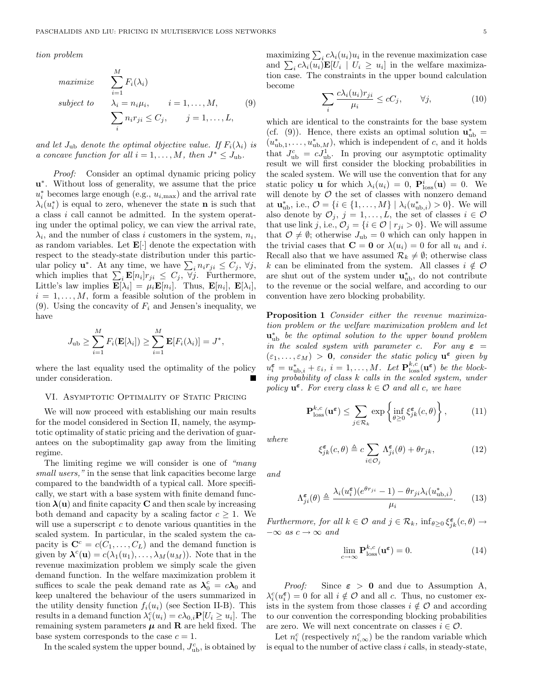tion problem

$$
\begin{array}{ll}\n\text{maximize} & \sum_{i=1}^{M} F_i(\lambda_i) \\
\text{subject to} & \lambda_i = n_i \mu_i, \qquad i = 1, \dots, M, \\
& \sum_{i} n_i r_{ji} \le C_j, \qquad j = 1, \dots, L,\n\end{array} \tag{9}
$$

and let  $J_{\text{ub}}$  denote the optimal objective value. If  $F_i(\lambda_i)$  is a concave function for all  $i = 1, ..., M$ , then  $J^* \leq J_{ub}$ .

Proof: Consider an optimal dynamic pricing policy u ∗ . Without loss of generality, we assume that the price  $u_i^*$  becomes large enough (e.g.,  $u_{i, \text{max}}$ ) and the arrival rate  $\lambda_i(u_i^*)$  is equal to zero, whenever the state **n** is such that a class i call cannot be admitted. In the system operating under the optimal policy, we can view the arrival rate,  $\lambda_i$ , and the number of class i customers in the system,  $n_i$ , as random variables. Let  $\mathbf{E}[\cdot]$  denote the expectation with respect to the steady-state distribution under this particular policy  $\mathbf{u}^*$ . At any time, we have  $\sum_i n_i r_{ji} \leq C_j$ ,  $\forall j$ , which implies that  $\sum_i \mathbf{E}[n_i] r_{ji} \leq C_j$ ,  $\forall j$ . Furthermore, Little's law implies  $\mathbf{E}[\lambda_i] = \mu_i \mathbf{E}[n_i]$ . Thus,  $\mathbf{E}[n_i]$ ,  $\mathbf{E}[\lambda_i]$ ,  $i = 1, \ldots, M$ , form a feasible solution of the problem in (9). Using the concavity of  $F_i$  and Jensen's inequality, we have

$$
J_{\text{ub}} \geq \sum_{i=1}^{M} F_i(\mathbf{E}[\lambda_i]) \geq \sum_{i=1}^{M} \mathbf{E}[F_i(\lambda_i)] = J^*,
$$

where the last equality used the optimality of the policy under consideration.

#### VI. ASYMPTOTIC OPTIMALITY OF STATIC PRICING

We will now proceed with establishing our main results for the model considered in Section II, namely, the asymptotic optimality of static pricing and the derivation of guarantees on the suboptimality gap away from the limiting regime.

The limiting regime we will consider is one of "many" small users," in the sense that link capacities become large compared to the bandwidth of a typical call. More specifically, we start with a base system with finite demand function  $\lambda(\mathbf{u})$  and finite capacity C and then scale by increasing both demand and capacity by a scaling factor  $c \geq 1$ . We will use a superscript  $c$  to denote various quantities in the scaled system. In particular, in the scaled system the capacity is  $\mathbf{C}^c = c(C_1, \ldots, C_L)$  and the demand function is given by  $\mathbf{\lambda}^c(\mathbf{u}) = c(\lambda_1(u_1), \dots, \lambda_M(u_M))$ . Note that in the revenue maximization problem we simply scale the given demand function. In the welfare maximization problem it suffices to scale the peak demand rate as  $\lambda_0^c = c \lambda_0$  and keep unaltered the behaviour of the users summarized in the utility density function  $f_i(u_i)$  (see Section II-B). This results in a demand function  $\lambda_i^c(u_i) = c\lambda_{0,i} \mathbf{P}[U_i \ge u_i]$ . The remaining system parameters  $\mu$  and **R** are held fixed. The base system corresponds to the case  $c = 1$ .

In the scaled system the upper bound,  $J_{\text{ub}}^c$ , is obtained by

maximizing  $\sum_i c \lambda_i(u_i) u_i$  in the revenue maximization case and  $\sum_i c \lambda_i(u_i) \mathbf{E}[U_i \mid U_i \ge u_i]$  in the welfare maximization case. The constraints in the upper bound calculation become

$$
\sum_{i} \frac{c\lambda_i(u_i)r_{ji}}{\mu_i} \le cC_j, \qquad \forall j,
$$
\n(10)

which are identical to the constraints for the base system (cf. (9)). Hence, there exists an optimal solution  $\mathbf{u}_{\text{ub}}^* =$  $(u_{ub,1}^*, \ldots, u_{ub,M}^*)$ , which is independent of c, and it holds that  $J_{\text{ub}}^c = cJ_{\text{ub}}^1$ . In proving our asymptotic optimality result we will first consider the blocking probabilities in the scaled system. We will use the convention that for any static policy **u** for which  $\lambda_i(u_i) = 0$ ,  $\mathbf{P}^i_{\text{loss}}(\mathbf{u}) = 0$ . We will denote by  $\mathcal O$  the set of classes with nonzero demand at  $\mathbf{u}_{\text{ub}}^*$ , i.e.,  $\mathcal{O} = \{i \in \{1, ..., M\} \mid \lambda_i(u_{\text{ub},i}^*) > 0\}$ . We will also denote by  $\mathcal{O}_j$ ,  $j = 1, \ldots, L$ , the set of classes  $i \in \mathcal{O}$ that use link j, i.e.,  $\mathcal{O}_j = \{i \in \mathcal{O} \mid r_{ji} > 0\}$ . We will assume that  $\mathcal{O} \neq \emptyset$ ; otherwise  $J_{ub} = 0$  which can only happen in the trivial cases that  $\mathbf{C} = \mathbf{0}$  or  $\lambda(u_i) = 0$  for all  $u_i$  and i. Recall also that we have assumed  $\mathcal{R}_k \neq \emptyset$ ; otherwise class k can be eliminated from the system. All classes  $i \notin \mathcal{O}$ are shut out of the system under  $\mathbf{u}_{\text{ub}}^*$ , do not contribute to the revenue or the social welfare, and according to our convention have zero blocking probability.

Proposition 1 Consider either the revenue maximization problem or the welfare maximization problem and let  $\mathbf{u}_{\text{ub}}^*$  be the optimal solution to the upper bound problem in the scaled system with parameter c. For any  $\varepsilon =$  $(\varepsilon_1,\ldots,\varepsilon_M) > 0$ , consider the static policy  $\mathbf{u}^{\varepsilon}$  given by  $u_i^{\varepsilon} = u_{\text{ub},i}^* + \varepsilon_i, i = 1,\ldots,M.$  Let  $\mathbf{P}_{\text{loss}}^{k,c}(\mathbf{u}^{\varepsilon})$  be the blocking probability of class k calls in the scaled system, under policy  $\mathbf{u}^{\varepsilon}$ . For every class  $k \in \mathcal{O}$  and all c, we have

$$
\mathbf{P}_{\mathrm{loss}}^{k,c}(\mathbf{u}^{\varepsilon}) \le \sum_{j \in \mathcal{R}_k} \exp\left\{ \inf_{\theta \ge 0} \xi_{jk}^{\varepsilon}(c,\theta) \right\},\tag{11}
$$

where

$$
\xi_{jk}^{\varepsilon}(c,\theta) \triangleq c \sum_{i \in \mathcal{O}_j} \Lambda_{ji}^{\varepsilon}(\theta) + \theta r_{jk},\tag{12}
$$

and

$$
\Lambda_{ji}^{\boldsymbol{\varepsilon}}(\theta) \triangleq \frac{\lambda_i(u_i^{\boldsymbol{\varepsilon}})(e^{\theta r_{ji}} - 1) - \theta r_{ji}\lambda_i(u_{\text{ub},i}^*)}{\mu_i}.
$$
 (13)

Furthermore, for all  $k \in \mathcal{O}$  and  $j \in \mathcal{R}_k$ ,  $\inf_{\theta \geq 0} \xi_{jk}^{\epsilon}(c, \theta) \rightarrow$  $-\infty$  as  $c \to \infty$  and

$$
\lim_{c \to \infty} \mathbf{P}_{\text{loss}}^{k,c}(\mathbf{u}^{\varepsilon}) = 0. \tag{14}
$$

*Proof:* Since  $\varepsilon > 0$  and due to Assumption A,  $\lambda_i^c(u_i^{\epsilon}) = 0$  for all  $i \notin \mathcal{O}$  and all c. Thus, no customer exists in the system from those classes  $i \notin \mathcal{O}$  and according to our convention the corresponding blocking probabilities are zero. We will next concentrate on classes  $i \in \mathcal{O}$ .

Let  $n_i^c$  (respectively  $n_{i,\infty}^c$ ) be the random variable which is equal to the number of active class  $i$  calls, in steady-state,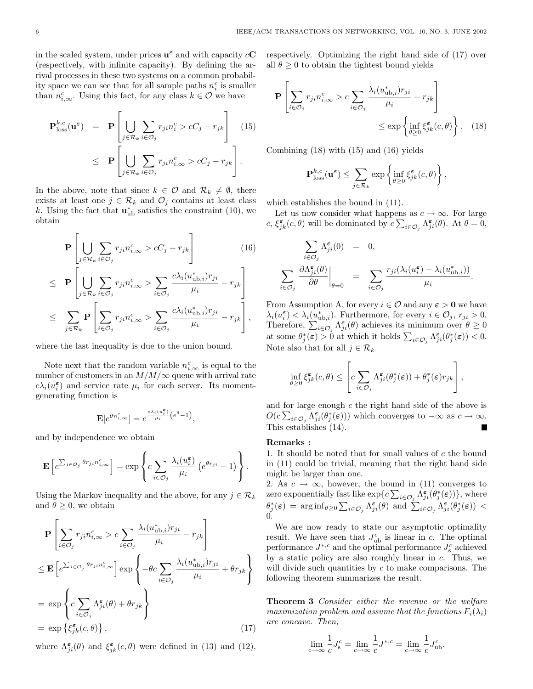in the scaled system, under prices  $\mathbf{u}^{\varepsilon}$  and with capacity  $c\mathbf{C}$ (respectively, with infinite capacity). By defining the arrival processes in these two systems on a common probability space we can see that for all sample paths  $n_i^c$  is smaller than  $n_{i,\infty}^c$ . Using this fact, for any class  $k \in \mathcal{O}$  we have

$$
\mathbf{P}_{\text{loss}}^{k,c}(\mathbf{u}^{\varepsilon}) = \mathbf{P} \left[ \bigcup_{j \in \mathcal{R}_k} \sum_{i \in \mathcal{O}_j} r_{ji} n_i^c > cC_j - r_{jk} \right] \quad (15)
$$
\n
$$
\leq \mathbf{P} \left[ \bigcup_{j \in \mathcal{R}_k} \sum_{i \in \mathcal{O}_j} r_{ji} n_{i,\infty}^c > cC_j - r_{jk} \right].
$$

In the above, note that since  $k \in \mathcal{O}$  and  $\mathcal{R}_k \neq \emptyset$ , there exists at least one  $j \in \mathcal{R}_k$  and  $\mathcal{O}_j$  contains at least class k. Using the fact that  $\mathbf{u}_{\text{ub}}^*$  satisfies the constraint (10), we obtain

$$
\mathbf{P}\left[\bigcup_{j\in\mathcal{R}_k}\sum_{i\in\mathcal{O}_j}r_{ji}n_{i,\infty}^c > cC_j - r_{jk}\right]
$$
(16)  

$$
\leq \mathbf{P}\left[\bigcup_{j\in\mathcal{R}_k}\sum_{i\in\mathcal{O}_j}r_{ji}n_{i,\infty}^c > \sum_{i\in\mathcal{O}_j}\frac{c\lambda_i(u_{\text{ub},i}^*)r_{ji}}{\mu_i} - r_{jk}\right]
$$
  

$$
\leq \sum_{j\in\mathcal{R}_k}\mathbf{P}\left[\sum_{i\in\mathcal{O}_j}r_{ji}n_{i,\infty}^c > \sum_{i\in\mathcal{O}_j}\frac{c\lambda_i(u_{\text{ub},i}^*)r_{ji}}{\mu_i} - r_{jk}\right],
$$

where the last inequality is due to the union bound.

Note next that the random variable  $n_{i,\infty}^c$  is equal to the number of customers in an  $M/M/\infty$  queue with arrival rate  $c\lambda_i(u_i^{\epsilon})$  and service rate  $\mu_i$  for each server. Its momentgenerating function is

$$
\mathbf{E}[e^{\theta n_{i,\infty}^c}] = e^{\frac{c\lambda_i(u_i^\varepsilon)}{\mu_i}(e^\theta - 1)},
$$

and by independence we obtain

$$
\mathbf{E}\left[e^{\sum_{i\in\mathcal{O}_j}\theta r_{ji}n_{i,\infty}^c}\right] = \exp\left\{c\sum_{i\in\mathcal{O}_j}\frac{\lambda_i(u_i^{\boldsymbol{\varepsilon}})}{\mu_i}\left(e^{\theta r_{ji}}-1\right)\right\}.
$$

Using the Markov inequality and the above, for any  $j \in \mathcal{R}_k$ and  $\theta \geq 0$ , we obtain

$$
\mathbf{P} \left[ \sum_{i \in \mathcal{O}_j} r_{ji} n_{i,\infty}^c > c \sum_{i \in \mathcal{O}_j} \frac{\lambda_i (u_{\text{ub},i}^* ) r_{ji}}{\mu_i} - r_{jk} \right]
$$
\n
$$
\leq \mathbf{E} \left[ e^{\sum_{i \in \mathcal{O}_j} \theta r_{ji} n_{i,\infty}^c} \right] \exp \left\{ -\theta c \sum_{i \in \mathcal{O}_j} \frac{\lambda_i (u_{\text{ub},i}^* ) r_{ji}}{\mu_i} + \theta r_{jk} \right\}
$$
\n
$$
= \exp \left\{ c \sum_{i \in \mathcal{O}_j} \Lambda_{ji}^{\varepsilon}(\theta) + \theta r_{jk} \right\}
$$
\n
$$
= \exp \left\{ \xi_{jk}^{\varepsilon}(c, \theta) \right\}, \tag{17}
$$

where  $\Lambda_{ji}^{\epsilon}(\theta)$  and  $\xi_{jk}^{\epsilon}(c,\theta)$  were defined in (13) and (12),

respectively. Optimizing the right hand side of (17) over all  $\theta \geq 0$  to obtain the tightest bound yields

$$
\mathbf{P}\left[\sum_{i\in\mathcal{O}_j} r_{ji} n_{i,\infty}^c > c \sum_{i\in\mathcal{O}_j} \frac{\lambda_i(u_{\text{ub},i}^*) r_{ji}}{\mu_i} - r_{jk}\right] \le \exp\left\{\inf_{\theta \ge 0} \xi_{jk}^\epsilon(c,\theta)\right\}.
$$
 (18)

Combining (18) with (15) and (16) yields

$$
\mathbf{P}_{\mathrm{loss}}^{k,c}(\mathbf{u}^{\varepsilon}) \leq \sum_{j \in \mathcal{R}_k} \exp \left\{ \inf_{\theta \geq 0} \xi_{jk}^{\varepsilon}(c,\theta) \right\},\,
$$

which establishes the bound in (11).

Let us now consider what happens as  $c \to \infty$ . For large c,  $\xi_{jk}^{\varepsilon}(c,\theta)$  will be dominated by  $c \sum_{i \in \mathcal{O}_j} \Lambda_{ji}^{\varepsilon}(\theta)$ . At  $\theta = 0$ ,

$$
\sum_{i \in \mathcal{O}_j} \Lambda_{ji}^{\varepsilon}(0) = 0,
$$
\n
$$
\sum_{i \in \mathcal{O}_j} \frac{\partial \Lambda_{ji}^{\varepsilon}(\theta)}{\partial \theta} \bigg|_{\theta=0} = \sum_{i \in \mathcal{O}_j} \frac{r_{ji}(\lambda_i(u_i^{\varepsilon}) - \lambda_i(u_{\text{ub},i}^*))}{\mu_i}.
$$

From Assumption A, for every  $i \in \mathcal{O}$  and any  $\varepsilon > 0$  we have  $\lambda_i(u_i^{\epsilon}) < \lambda_i(u_{\text{ub},i}^{\ast})$ . Furthermore, for every  $i \in \mathcal{O}_j$ ,  $r_{ji} > 0$ . Therefore,  $\sum_{i \in \mathcal{O}_j} \Lambda_{ji}^{\epsilon}(\theta)$  achieves its minimum over  $\theta \geq 0$ at some  $\theta_j^*(\epsilon) > 0$  at which it holds  $\sum_{i \in \mathcal{O}_j} \Lambda_{ji}^{\epsilon}(\theta_j^*(\epsilon)) < 0$ . Note also that for all  $j \in \mathcal{R}_k$ 

$$
\inf_{\theta \geq 0} \xi_{jk}^{\varepsilon}(c, \theta) \leq \left[c \sum_{i \in \mathcal{O}_j} \Lambda_{ji}^{\varepsilon}(\theta_j^*(\varepsilon)) + \theta_j^*(\varepsilon) r_{jk}\right],
$$

and for large enough  $c$  the right hand side of the above is  $O(c\sum_{i\in\mathcal{O}_j}\Lambda_{ji}^{\varepsilon}(\theta_j^*(\varepsilon)))$  which converges to  $-\infty$  as  $c\to\infty$ . This establishes (14).

#### Remarks :

1. It should be noted that for small values of  $c$  the bound in (11) could be trivial, meaning that the right hand side might be larger than one.

2. As  $c \to \infty$ , however, the bound in (11) converges to zero exponentially fast like  $\exp\{c\sum_{i\in\mathcal{O}_j}\Lambda_{ji}^{\boldsymbol{\varepsilon}}(\theta_j^*(\boldsymbol{\varepsilon}))\}$ , where  $\theta_j^*(\boldsymbol{\varepsilon}) = \arg \inf_{\theta \geq 0} \sum_{i \in \mathcal{O}_j} \Lambda_{ji}^{\boldsymbol{\varepsilon}}(\theta) \text{ and } \sum_{i \in \mathcal{O}_j} \Lambda_{ji}^{\boldsymbol{\varepsilon}}(\theta_j^*(\boldsymbol{\varepsilon})) <$  $0<sup>1</sup>$ 

We are now ready to state our asymptotic optimality result. We have seen that  $J_{ub}^c$  is linear in c. The optimal performance  $J^{*,c}$  and the optimal performance  $J_s^c$  achieved by a static policy are also roughly linear in c. Thus, we will divide such quantities by  $c$  to make comparisons. The following theorem summarizes the result.

Theorem 3 Consider either the revenue or the welfare maximization problem and assume that the functions  $F_i(\lambda_i)$ are concave. Then,

$$
\lim_{c \to \infty} \frac{1}{c} J_s^c = \lim_{c \to \infty} \frac{1}{c} J^{*,c} = \lim_{c \to \infty} \frac{1}{c} J_{ub}^c.
$$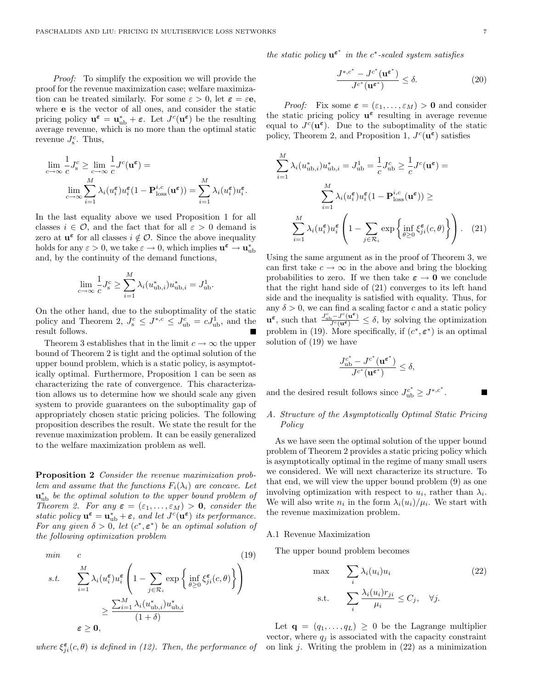Proof: To simplify the exposition we will provide the proof for the revenue maximization case; welfare maximization can be treated similarly. For some  $\varepsilon > 0$ , let  $\varepsilon = \varepsilon e$ , where e is the vector of all ones, and consider the static pricing policy  $\mathbf{u}^{\epsilon} = \mathbf{u}_{\text{ub}}^{*} + \varepsilon$ . Let  $J^{c}(\mathbf{u}^{\epsilon})$  be the resulting average revenue, which is no more than the optimal static revenue  $J_{\rm s}^c$ . Thus,

$$
\lim_{c \to \infty} \frac{1}{c} J_s^c \ge \lim_{c \to \infty} \frac{1}{c} J^c(\mathbf{u}^{\varepsilon}) =
$$
  

$$
\lim_{c \to \infty} \sum_{i=1}^M \lambda_i(u_i^{\varepsilon}) u_i^{\varepsilon} (1 - \mathbf{P}_{\text{loss}}^{i,c}(\mathbf{u}^{\varepsilon})) = \sum_{i=1}^M \lambda_i(u_i^{\varepsilon}) u_i^{\varepsilon}.
$$

In the last equality above we used Proposition 1 for all classes  $i \in \mathcal{O}$ , and the fact that for all  $\varepsilon > 0$  demand is zero at  $\mathbf{u}^{\epsilon}$  for all classes  $i \notin \mathcal{O}$ . Since the above inequality holds for any  $\varepsilon > 0$ , we take  $\varepsilon \to 0$ , which implies  $\mathbf{u}^{\varepsilon} \to \mathbf{u}_{\text{ub}}^*$ and, by the continuity of the demand functions,

$$
\lim_{c \to \infty} \frac{1}{c} J_s^c \ge \sum_{i=1}^M \lambda_i(u_{\textrm{ub},i}^*) u_{\textrm{ub},i}^* = J_{\textrm{ub}}^1.
$$

On the other hand, due to the suboptimality of the static policy and Theorem 2,  $J_s^c \leq J_{\text{ub}}^* \leq J_{\text{ub}}^c = cJ_{\text{ub}}^1$ , and the result follows.

Theorem 3 establishes that in the limit  $c \to \infty$  the upper bound of Theorem 2 is tight and the optimal solution of the upper bound problem, which is a static policy, is asymptotically optimal. Furthermore, Proposition 1 can be seen as characterizing the rate of convergence. This characterization allows us to determine how we should scale any given system to provide guarantees on the suboptimality gap of appropriately chosen static pricing policies. The following proposition describes the result. We state the result for the revenue maximization problem. It can be easily generalized to the welfare maximization problem as well.

Proposition 2 Consider the revenue maximization problem and assume that the functions  $F_i(\lambda_i)$  are concave. Let  $\mathbf{u}_{\text{ub}}^*$  be the optimal solution to the upper bound problem of Theorem 2. For any  $\varepsilon = (\varepsilon_1, \ldots, \varepsilon_M) > 0$ , consider the static policy  $\mathbf{u}^{\varepsilon} = \mathbf{u}_{\text{ub}}^* + \varepsilon$ , and let  $J^c(\mathbf{u}^{\varepsilon})$  its performance. For any given  $\delta > 0$ , let  $(c^*, \varepsilon^*)$  be an optimal solution of the following optimization problem

$$
\min \ c
$$
\n
$$
s.t. \sum_{i=1}^{M} \lambda_i (u_i^{\varepsilon}) u_i^{\varepsilon} \left( 1 - \sum_{j \in \mathcal{R}_i} \exp \left\{ \inf_{\theta \ge 0} \xi_{ji}^{\varepsilon} (c, \theta) \right\} \right)
$$
\n
$$
\ge \frac{\sum_{i=1}^{M} \lambda_i (u_{\text{ub},i}^*) u_{\text{ub},i}^*}{(1+\delta)}
$$
\n
$$
\varepsilon \ge 0,
$$
\n
$$
(1+\delta)
$$
\n
$$
(1+\delta)
$$
\n
$$
(1+\delta)
$$

where  $\xi_{ji}^{\epsilon}(c,\theta)$  is defined in (12). Then, the performance of

the static policy  $\mathbf{u}^{\epsilon^*}$  in the c<sup>\*</sup>-scaled system satisfies

$$
\frac{J^{*,c^*} - J^{c^*}(\mathbf{u}^{\varepsilon^*})}{J^{c^*}(\mathbf{u}^{\varepsilon^*})} \le \delta.
$$
\n(20)

*Proof:* Fix some  $\varepsilon = (\varepsilon_1, \dots, \varepsilon_M) > 0$  and consider the static pricing policy  $\mathbf{u}^{\varepsilon}$  resulting in average revenue equal to  $J^c(\mathbf{u}^{\varepsilon})$ . Due to the suboptimality of the static policy, Theorem 2, and Proposition 1,  $J<sup>c</sup>(\mathbf{u}^{\epsilon})$  satisfies

$$
\sum_{i=1}^{M} \lambda_i (u_{\text{ub},i}^*) u_{\text{ub},i}^* = J_{\text{ub}}^1 = \frac{1}{c} J_{\text{ub}}^c \ge \frac{1}{c} J^c(\mathbf{u}^{\varepsilon}) =
$$
\n
$$
\sum_{i=1}^{M} \lambda_i (u_i^{\varepsilon}) u_i^{\varepsilon} (1 - \mathbf{P}_{\text{loss}}^{i,c}(\mathbf{u}^{\varepsilon})) \ge
$$
\n
$$
\sum_{i=1}^{M} \lambda_i (u_i^{\varepsilon}) u_i^{\varepsilon} \left(1 - \sum_{j \in \mathcal{R}_i} \exp\left\{\inf_{\theta \ge 0} \xi_{ji}^{\varepsilon}(c,\theta)\right\}\right). \tag{21}
$$

Using the same argument as in the proof of Theorem 3, we can first take  $c \to \infty$  in the above and bring the blocking probabilities to zero. If we then take  $\varepsilon \to 0$  we conclude that the right hand side of (21) converges to its left hand side and the inequality is satisfied with equality. Thus, for any  $\delta > 0$ , we can find a scaling factor c and a static policy  $\mathbf{u}^{\varepsilon}$ , such that  $\frac{J_{\mathbf{u}^{\mathbf{b}}-J^c(\mathbf{u}^{\varepsilon})}{J^c(\mathbf{u}^{\varepsilon})} \leq \delta$ , by solving the optimization problem in (19). More specifically, if  $(c^*, \varepsilon^*)$  is an optimal solution of (19) we have

$$
\frac{J_{\mathbf{u}\mathbf{b}}^{c^*} - J^{c^*}(\mathbf{u}^{\varepsilon^*})}{J^{c^*}(\mathbf{u}^{\varepsilon^*})} \leq \delta,
$$

and the desired result follows since  $J_{\text{ub}}^{c^*} \geq J^{*,c^*}$ .

#### A. Structure of the Asymptotically Optimal Static Pricing Policy

As we have seen the optimal solution of the upper bound problem of Theorem 2 provides a static pricing policy which is asymptotically optimal in the regime of many small users we considered. We will next characterize its structure. To that end, we will view the upper bound problem (9) as one involving optimization with respect to  $u_i$ , rather than  $\lambda_i$ . We will also write  $n_i$  in the form  $\lambda_i(u_i)/\mu_i$ . We start with the revenue maximization problem.

#### A.1 Revenue Maximization

The upper bound problem becomes

$$
\max_{i} \sum_{i} \lambda_{i}(u_{i}) u_{i} \qquad (22)
$$
\n
$$
\text{s.t.} \sum_{i} \frac{\lambda_{i}(u_{i}) r_{ji}}{\mu_{i}} \leq C_{j}, \quad \forall j.
$$

Let  $\mathbf{q} = (q_1, \ldots, q_L) \geq 0$  be the Lagrange multiplier vector, where  $q_i$  is associated with the capacity constraint on link j. Writing the problem in  $(22)$  as a minimization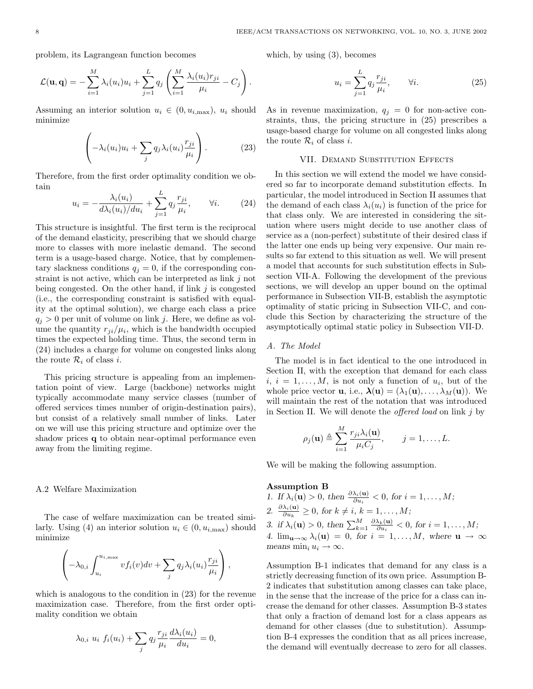problem, its Lagrangean function becomes

$$
\mathcal{L}(\mathbf{u}, \mathbf{q}) = -\sum_{i=1}^{M} \lambda_i(u_i) u_i + \sum_{j=1}^{L} q_j \left( \sum_{i=1}^{M} \frac{\lambda_i(u_i) r_{ji}}{\mu_i} - C_j \right)
$$

Assuming an interior solution  $u_i \in (0, u_{i, \max})$ ,  $u_i$  should minimize

$$
\left(-\lambda_i(u_i)u_i + \sum_j q_j \lambda_i(u_i) \frac{r_{ji}}{\mu_i}\right). \tag{23}
$$

Therefore, from the first order optimality condition we obtain

$$
u_i = -\frac{\lambda_i(u_i)}{d\lambda_i(u_i)/du_i} + \sum_{j=1}^L q_j \frac{r_{ji}}{\mu_i}, \qquad \forall i. \tag{24}
$$

This structure is insightful. The first term is the reciprocal of the demand elasticity, prescribing that we should charge more to classes with more inelastic demand. The second term is a usage-based charge. Notice, that by complementary slackness conditions  $q_i = 0$ , if the corresponding constraint is not active, which can be interpreted as  $\text{link } j$  not being congested. On the other hand, if link  $j$  is congested (i.e., the corresponding constraint is satisfied with equality at the optimal solution), we charge each class a price  $q_j > 0$  per unit of volume on link j. Here, we define as volume the quantity  $r_{ji}/\mu_i$ , which is the bandwidth occupied times the expected holding time. Thus, the second term in (24) includes a charge for volume on congested links along the route  $\mathcal{R}_i$  of class *i*.

This pricing structure is appealing from an implementation point of view. Large (backbone) networks might typically accommodate many service classes (number of offered services times number of origin-destination pairs), but consist of a relatively small number of links. Later on we will use this pricing structure and optimize over the shadow prices **q** to obtain near-optimal performance even away from the limiting regime.

#### A.2 Welfare Maximization

The case of welfare maximization can be treated similarly. Using (4) an interior solution  $u_i \in (0, u_{i, \text{max}})$  should minimize

$$
\left(-\lambda_{0,i}\int_{u_i}^{u_{i,\max}} v f_i(v) dv + \sum_j q_j \lambda_i(u_i) \frac{r_{ji}}{\mu_i}\right),\,
$$

which is analogous to the condition in (23) for the revenue maximization case. Therefore, from the first order optimality condition we obtain

$$
\lambda_{0,i} u_i f_i(u_i) + \sum_j q_j \frac{r_{ji}}{\mu_i} \frac{d\lambda_i(u_i)}{du_i} = 0,
$$

which, by using (3), becomes

.

$$
u_i = \sum_{j=1}^{L} q_j \frac{r_{ji}}{\mu_i}, \qquad \forall i.
$$
 (25)

As in revenue maximization,  $q_j = 0$  for non-active constraints, thus, the pricing structure in (25) prescribes a usage-based charge for volume on all congested links along the route  $\mathcal{R}_i$  of class *i*.

#### VII. DEMAND SUBSTITUTION EFFECTS

In this section we will extend the model we have considered so far to incorporate demand substitution effects. In particular, the model introduced in Section II assumes that the demand of each class  $\lambda_i(u_i)$  is function of the price for that class only. We are interested in considering the situation where users might decide to use another class of service as a (non-perfect) substitute of their desired class if the latter one ends up being very expensive. Our main results so far extend to this situation as well. We will present a model that accounts for such substitution effects in Subsection VII-A. Following the development of the previous sections, we will develop an upper bound on the optimal performance in Subsection VII-B, establish the asymptotic optimality of static pricing in Subsection VII-C, and conclude this Section by characterizing the structure of the asymptotically optimal static policy in Subsection VII-D.

#### A. The Model

The model is in fact identical to the one introduced in Section II, with the exception that demand for each class  $i, i = 1, \ldots, M$ , is not only a function of  $u_i$ , but of the whole price vector **u**, i.e.,  $\lambda(\mathbf{u}) = (\lambda_1(\mathbf{u}), \dots, \lambda_M(\mathbf{u}))$ . We will maintain the rest of the notation that was introduced in Section II. We will denote the *offered load* on link  $j$  by

$$
\rho_j(\mathbf{u}) \triangleq \sum_{i=1}^M \frac{r_{ji} \lambda_i(\mathbf{u})}{\mu_i C_j}, \qquad j=1,\ldots,L.
$$

We will be making the following assumption.

## Assumption B

1. If  $\lambda_i(\mathbf{u}) > 0$ , then  $\frac{\partial \lambda_i(\mathbf{u})}{\partial u_i} < 0$ , for  $i = 1, \ldots, M$ ; 2.  $\frac{\partial \lambda_i(\mathbf{u})}{\partial u_k} \geq 0$ , for  $k \neq i$ ,  $k = 1, ..., M$ ; 3. if  $\lambda_i(\mathbf{u}) > 0$ , then  $\sum_{k=1}^{M} \frac{\partial \lambda_k(\mathbf{u})}{\partial u_i}$  $\frac{\lambda_k(\mathbf{u})}{\partial u_i} < 0$ , for  $i = 1, \ldots, M;$ 4.  $\lim_{\mathbf{u}\to\infty}\lambda_i(\mathbf{u})=0$ , for  $i=1,\ldots,M$ , where  $\mathbf{u}\to\infty$ means  $\min_i u_i \to \infty$ .

Assumption B-1 indicates that demand for any class is a strictly decreasing function of its own price. Assumption B-2 indicates that substitution among classes can take place, in the sense that the increase of the price for a class can increase the demand for other classes. Assumption B-3 states that only a fraction of demand lost for a class appears as demand for other classes (due to substitution). Assumption B-4 expresses the condition that as all prices increase, the demand will eventually decrease to zero for all classes.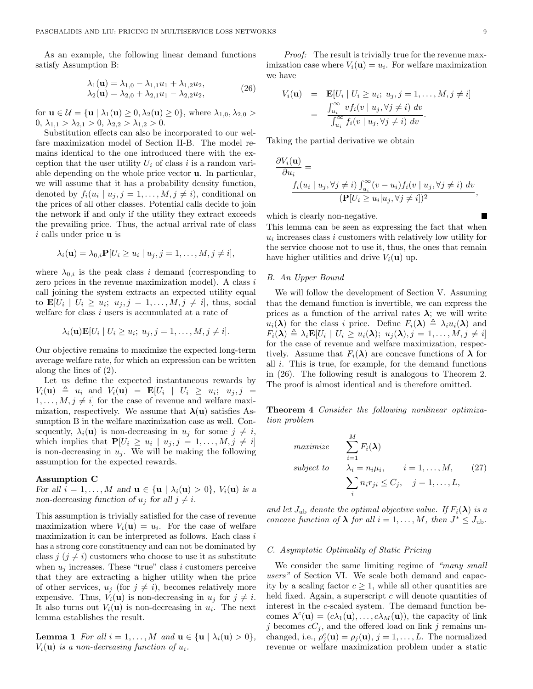As an example, the following linear demand functions satisfy Assumption B:

$$
\lambda_1(\mathbf{u}) = \lambda_{1,0} - \lambda_{1,1}u_1 + \lambda_{1,2}u_2,\n\lambda_2(\mathbf{u}) = \lambda_{2,0} + \lambda_{2,1}u_1 - \lambda_{2,2}u_2,
$$
\n(26)

for  $\mathbf{u} \in \mathcal{U} = {\mathbf{u} \mid \lambda_1(\mathbf{u}) \geq 0, \lambda_2(\mathbf{u}) \geq 0}$ , where  $\lambda_{1,0}, \lambda_{2,0} >$ 0,  $\lambda_{1,1} > \lambda_{2,1} > 0$ ,  $\lambda_{2,2} > \lambda_{1,2} > 0$ .

Substitution effects can also be incorporated to our welfare maximization model of Section II-B. The model remains identical to the one introduced there with the exception that the user utility  $U_i$  of class i is a random variable depending on the whole price vector u. In particular, we will assume that it has a probability density function, denoted by  $f_i(u_i \mid u_j, j = 1, \ldots, M, j \neq i)$ , conditional on the prices of all other classes. Potential calls decide to join the network if and only if the utility they extract exceeds the prevailing price. Thus, the actual arrival rate of class  $i$  calls under price  $\bf{u}$  is

$$
\lambda_i(\mathbf{u}) = \lambda_{0,i} \mathbf{P}[U_i \ge u_i \mid u_j, j = 1, \dots, M, j \ne i],
$$

where  $\lambda_{0,i}$  is the peak class i demand (corresponding to zero prices in the revenue maximization model). A class  $i$ call joining the system extracts an expected utility equal to  $\mathbf{E}[U_i \mid U_i \geq u_i; u_j, j = 1, \ldots, M, j \neq i],$  thus, social welfare for class  $i$  users is accumulated at a rate of

$$
\lambda_i(\mathbf{u})\mathbf{E}[U_i \mid U_i \ge u_i; u_j, j = 1, \dots, M, j \ne i].
$$

Our objective remains to maximize the expected long-term average welfare rate, for which an expression can be written along the lines of (2).

Let us define the expected instantaneous rewards by  $V_i(\mathbf{u}) \triangleq u_i$  and  $V_i(\mathbf{u}) = \mathbf{E}[U_i \mid U_i \geq u_i; u_j, j] =$  $1, \ldots, M, j \neq i$  for the case of revenue and welfare maximization, respectively. We assume that  $\lambda(\mathbf{u})$  satisfies Assumption B in the welfare maximization case as well. Consequently,  $\lambda_i(\mathbf{u})$  is non-decreasing in  $u_i$  for some  $j \neq i$ , which implies that  $P[U_i \geq u_i \mid u_j, j = 1, \ldots, M, j \neq i]$ is non-decreasing in  $u_i$ . We will be making the following assumption for the expected rewards.

#### Assumption C

For all  $i = 1, ..., M$  and  $\mathbf{u} \in {\mathbf{u} \mid \lambda_i(\mathbf{u}) > 0}$ ,  $V_i(\mathbf{u})$  is a non-decreasing function of  $u_j$  for all  $j \neq i$ .

This assumption is trivially satisfied for the case of revenue maximization where  $V_i(\mathbf{u}) = u_i$ . For the case of welfare maximization it can be interpreted as follows. Each class  $i$ has a strong core constituency and can not be dominated by class  $j$  ( $j \neq i$ ) customers who choose to use it as substitute when  $u_i$  increases. These "true" class i customers perceive that they are extracting a higher utility when the price of other services,  $u_j$  (for  $j \neq i$ ), becomes relatively more expensive. Thus,  $V_i(\mathbf{u})$  is non-decreasing in  $u_j$  for  $j \neq i$ . It also turns out  $V_i(\mathbf{u})$  is non-decreasing in  $u_i$ . The next lemma establishes the result.

**Lemma 1** For all  $i = 1, ..., M$  and  $\mathbf{u} \in {\mathbf{u} \mid \lambda_i(\mathbf{u}) > 0}$ ,  $V_i(\mathbf{u})$  is a non-decreasing function of  $u_i$ .

Proof: The result is trivially true for the revenue maximization case where  $V_i(\mathbf{u}) = u_i$ . For welfare maximization we have

$$
V_i(\mathbf{u}) = \mathbf{E}[U_i | U_i \ge u_i; u_j, j = 1, ..., M, j \ne i]
$$
  
= 
$$
\frac{\int_{u_i}^{\infty} vf_i(v | u_j, \forall j \ne i) dv}{\int_{u_i}^{\infty} f_i(v | u_j, \forall j \ne i) dv}.
$$

Taking the partial derivative we obtain

$$
\frac{\partial V_i(\mathbf{u})}{\partial u_i} = \frac{f_i(u_i \mid u_j, \forall j \neq i) \int_{u_i}^{\infty} (v - u_i) f_i(v \mid u_j, \forall j \neq i) dv}{(\mathbf{P}[U_i \geq u_i | u_j, \forall j \neq i])^2},
$$

which is clearly non-negative.

This lemma can be seen as expressing the fact that when  $u_i$  increases class i customers with relatively low utility for the service choose not to use it, thus, the ones that remain have higher utilities and drive  $V_i(\mathbf{u})$  up.

#### B. An Upper Bound

We will follow the development of Section V. Assuming that the demand function is invertible, we can express the prices as a function of the arrival rates  $\lambda$ ; we will write  $u_i(\lambda)$  for the class i price. Define  $F_i(\lambda) \triangleq \lambda_i u_i(\lambda)$  and  $F_i(\boldsymbol{\lambda}) \triangleq \lambda_i \mathbf{E}[U_i \mid U_i \geq u_i(\boldsymbol{\lambda}); \ u_j(\boldsymbol{\lambda}), j = 1, \ldots, M, j \neq i]$ for the case of revenue and welfare maximization, respectively. Assume that  $F_i(\lambda)$  are concave functions of  $\lambda$  for all i. This is true, for example, for the demand functions in (26). The following result is analogous to Theorem 2. The proof is almost identical and is therefore omitted.

Theorem 4 Consider the following nonlinear optimization problem

$$
\begin{array}{ll}\n\text{maximize} & \sum_{i=1}^{M} F_i(\lambda) \\
\text{subject to} & \lambda_i = n_i \mu_i, \qquad i = 1, \dots, M, \qquad (27) \\
& \sum_{i} n_i r_{ji} \le C_j, \quad j = 1, \dots, L,\n\end{array}
$$

and let  $J_{\text{ub}}$  denote the optimal objective value. If  $F_i(\lambda)$  is a concave function of  $\lambda$  for all  $i = 1, ..., M$ , then  $J^* \leq J_{ub}$ .

#### C. Asymptotic Optimality of Static Pricing

We consider the same limiting regime of "many small" users" of Section VI. We scale both demand and capacity by a scaling factor  $c > 1$ , while all other quantities are held fixed. Again, a superscript  $c$  will denote quantities of interest in the c-scaled system. The demand function becomes  $\mathbf{\lambda}^c(\mathbf{u}) = (c\lambda_1(\mathbf{u}), \ldots, c\lambda_M(\mathbf{u}))$ , the capacity of link j becomes  $c_i$ , and the offered load on link j remains unchanged, i.e.,  $\rho_j^c(\mathbf{u}) = \rho_j(\mathbf{u}), j = 1, \dots, L$ . The normalized revenue or welfare maximization problem under a static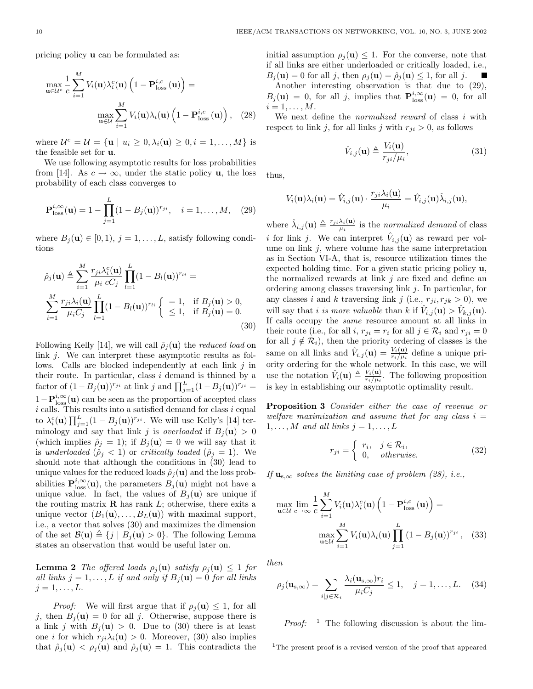pricing policy u can be formulated as:

$$
\max_{\mathbf{u}\in\mathcal{U}^c} \frac{1}{c} \sum_{i=1}^M V_i(\mathbf{u}) \lambda_i^c(\mathbf{u}) \left(1 - \mathbf{P}_{\text{loss}}^{i,c}(\mathbf{u})\right) =
$$

$$
\max_{\mathbf{u}\in\mathcal{U}} \sum_{i=1}^M V_i(\mathbf{u}) \lambda_i(\mathbf{u}) \left(1 - \mathbf{P}_{\text{loss}}^{i,c}(\mathbf{u})\right), \quad (28)
$$

where  $\mathcal{U}^c = \mathcal{U} = {\mathbf{u} \mid u_i \geq 0, \lambda_i(\mathbf{u}) \geq 0, i = 1, ..., M}$  is the feasible set for u.

We use following asymptotic results for loss probabilities from [14]. As  $c \to \infty$ , under the static policy **u**, the loss probability of each class converges to

$$
\mathbf{P}_{\text{loss}}^{i,\infty}(\mathbf{u}) = 1 - \prod_{j=1}^{L} (1 - B_j(\mathbf{u}))^{r_{ji}}, \quad i = 1, \dots, M, \quad (29)
$$

where  $B_j(\mathbf{u}) \in [0,1), j = 1, \ldots, L$ , satisfy following conditions

$$
\hat{\rho}_j(\mathbf{u}) \triangleq \sum_{i=1}^M \frac{r_{ji} \lambda_i^c(\mathbf{u})}{\mu_i c C_j} \prod_{l=1}^L (1 - B_l(\mathbf{u}))^{r_{li}} =
$$
\n
$$
\sum_{i=1}^M \frac{r_{ji} \lambda_i(\mathbf{u})}{\mu_i C_j} \prod_{l=1}^L (1 - B_l(\mathbf{u}))^{r_{li}} \begin{cases} = 1, & \text{if } B_j(\mathbf{u}) > 0, \\ \leq 1, & \text{if } B_j(\mathbf{u}) = 0. \end{cases}
$$
\n(30)

Following Kelly [14], we will call  $\hat{\rho}_i(\mathbf{u})$  the *reduced load* on link j. We can interpret these asymptotic results as follows. Calls are blocked independently at each link  $j$  in their route. In particular, class  $i$  demand is thinned by a factor of  $(1 - B_j(\mathbf{u}))^{r_{ji}}$  at link j and  $\prod_{j=1}^{L} (1 - B_j(\mathbf{u}))^{r_{ji}} =$  $1-\mathbf{P}_{loss}^{i,\infty}(\mathbf{u})$  can be seen as the proportion of accepted class  $i$  calls. This results into a satisfied demand for class  $i$  equal to  $\lambda_i^c(\mathbf{u}) \prod_{j=1}^L (1-B_j(\mathbf{u}))^{r_{ji}}$ . We will use Kelly's [14] terminology and say that link j is *overloaded* if  $B_j(\mathbf{u}) > 0$ (which implies  $\hat{\rho}_j = 1$ ); if  $B_j(\mathbf{u}) = 0$  we will say that it is underloaded  $(\hat{\rho}_j < 1)$  or critically loaded  $(\hat{\rho}_j = 1)$ . We should note that although the conditions in (30) lead to unique values for the reduced loads  $\hat{\rho}_j(\mathbf{u})$  and the loss probabilities  $\mathbf{P}_{\text{loss}}^{i,\infty}(\mathbf{u})$ , the parameters  $B_j(\mathbf{u})$  might not have a unique value. In fact, the values of  $B_i(\mathbf{u})$  are unique if the routing matrix  $\bf{R}$  has rank  $L$ ; otherwise, there exits a unique vector  $(B_1(\mathbf{u}),...,B_L(\mathbf{u}))$  with maximal support, i.e., a vector that solves (30) and maximizes the dimension of the set  $\mathcal{B}(\mathbf{u}) \triangleq \{j | B_i(\mathbf{u}) > 0\}$ . The following Lemma states an observation that would be useful later on.

**Lemma 2** The offered loads  $\rho_i(\mathbf{u})$  satisfy  $\rho_i(\mathbf{u}) \leq 1$  for all links  $j = 1, ..., L$  if and only if  $B_i(\mathbf{u}) = 0$  for all links  $j=1,\ldots,L$ .

*Proof:* We will first argue that if  $\rho_i(\mathbf{u}) \leq 1$ , for all j, then  $B_j(\mathbf{u}) = 0$  for all j. Otherwise, suppose there is a link j with  $B_i(\mathbf{u}) > 0$ . Due to (30) there is at least one *i* for which  $r_{ii}\lambda_i(\mathbf{u}) > 0$ . Moreover, (30) also implies that  $\hat{\rho}_i(\mathbf{u}) < \rho_i(\mathbf{u})$  and  $\hat{\rho}_i(\mathbf{u}) = 1$ . This contradicts the initial assumption  $\rho_i(\mathbf{u}) \leq 1$ . For the converse, note that if all links are either underloaded or critically loaded, i.e.,  $B_j(\mathbf{u}) = 0$  for all j, then  $\rho_j(\mathbf{u}) = \hat{\rho}_j(\mathbf{u}) \leq 1$ , for all j. Another interesting observation is that due to (29),  $B_j(\mathbf{u}) = 0$ , for all j, implies that  $\mathbf{P}_{\text{loss}}^{i,\infty}(\mathbf{u}) = 0$ , for all  $i=1,\ldots,M$ .

We next define the *normalized reward* of class i with respect to link j, for all links j with  $r_{ii} > 0$ , as follows

$$
\hat{V}_{i,j}(\mathbf{u}) \triangleq \frac{V_i(\mathbf{u})}{r_{ji}/\mu_i},\tag{31}
$$

thus,

$$
V_i(\mathbf{u})\lambda_i(\mathbf{u}) = \hat{V}_{i,j}(\mathbf{u}) \cdot \frac{r_{ji}\lambda_i(\mathbf{u})}{\mu_i} = \hat{V}_{i,j}(\mathbf{u})\hat{\lambda}_{i,j}(\mathbf{u}),
$$

where  $\hat{\lambda}_{i,j}(\mathbf{u}) \triangleq \frac{r_{ji}\lambda_i(\mathbf{u})}{\mu_i}$  $\frac{\lambda_i(\mathbf{u})}{\mu_i}$  is the normalized demand of class i for link j. We can interpret  $\hat{V}_{i,j}(\mathbf{u})$  as reward per volume on link  $j$ , where volume has the same interpretation as in Section VI-A, that is, resource utilization times the expected holding time. For a given static pricing policy u, the normalized rewards at link  $i$  are fixed and define an ordering among classes traversing link j. In particular, for any classes i and k traversing link j (i.e.,  $r_{ji}, r_{jk} > 0$ ), we will say that *i is more valuable* than *k* if  $\hat{V}_{i,j}(\mathbf{u}) > \hat{V}_{k,j}(\mathbf{u})$ . If calls occupy the same resource amount at all links in their route (i.e., for all i,  $r_{ji} = r_i$  for all  $j \in \mathcal{R}_i$  and  $r_{ji} = 0$ for all  $j \notin \mathcal{R}_i$ , then the priority ordering of classes is the same on all links and  $\hat{V}_{i,j}(\mathbf{u}) = \frac{V_i(\mathbf{u})}{r_i / \mu_i}$  $\frac{v_i(\mathbf{u})}{r_i/\mu_i}$  define a unique priority ordering for the whole network. In this case, we will use the notation  $\hat{V}_i(\mathbf{u}) \triangleq \frac{V_i(\mathbf{u})}{r_i/u_i}$  $\frac{V_i(\mathbf{u})}{r_i/\mu_i}$ . The following proposition is key in establishing our asymptotic optimality result.

Proposition 3 Consider either the case of revenue or welfare maximization and assume that for any class  $i =$  $1, \ldots, M$  and all links  $j = 1, \ldots, L$ 

$$
r_{ji} = \begin{cases} r_i, & j \in \mathcal{R}_i, \\ 0, & otherwise. \end{cases}
$$
 (32)

If  $\mathbf{u}_{s,\infty}$  solves the limiting case of problem (28), i.e.,

$$
\max_{\mathbf{u}\in\mathcal{U}}\lim_{c\to\infty}\frac{1}{c}\sum_{i=1}^{M}V_i(\mathbf{u})\lambda_i^c(\mathbf{u})\left(1-\mathbf{P}_{\text{loss}}^{i,c}(\mathbf{u})\right)=
$$

$$
\max_{\mathbf{u}\in\mathcal{U}}\sum_{i=1}^{M}V_i(\mathbf{u})\lambda_i(\mathbf{u})\prod_{j=1}^{L}\left(1-B_j(\mathbf{u})\right)^{r_{ji}},\quad(33)
$$

then

$$
\rho_j(\mathbf{u}_{\mathrm{s},\infty}) = \sum_{i|j \in \mathcal{R}_i} \frac{\lambda_i(\mathbf{u}_{\mathrm{s},\infty}) r_i}{\mu_i C_j} \le 1, \quad j = 1,\dots, L. \quad (34)
$$

*Proof*:  $\frac{1}{1}$  The following discussion is about the lim-

<sup>1</sup>The present proof is a revised version of the proof that appeared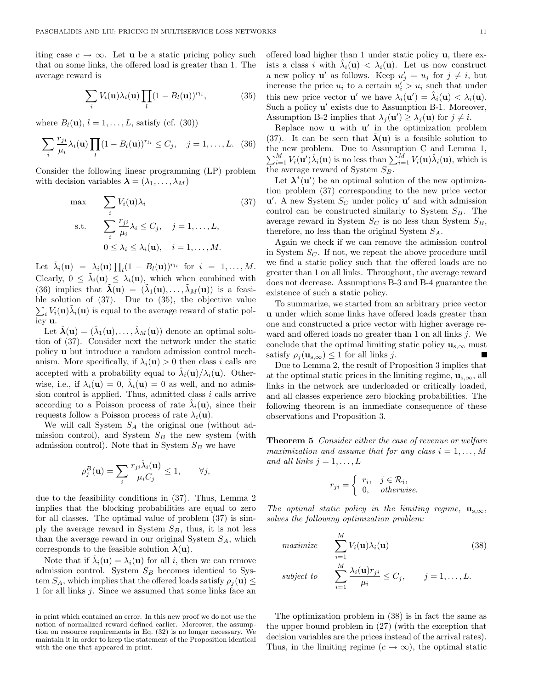iting case  $c \to \infty$ . Let **u** be a static pricing policy such that on some links, the offered load is greater than 1. The average reward is

$$
\sum_{i} V_i(\mathbf{u}) \lambda_i(\mathbf{u}) \prod_{l} (1 - B_l(\mathbf{u}))^{r_{li}}, \tag{35}
$$

where  $B_l(\mathbf{u}), l = 1, \ldots, L$ , satisfy (cf. (30))

$$
\sum_{i} \frac{r_{ji}}{\mu_i} \lambda_i(\mathbf{u}) \prod_l (1 - B_l(\mathbf{u}))^{r_{li}} \le C_j, \quad j = 1, \dots, L. \quad (36)
$$

Consider the following linear programming (LP) problem with decision variables  $\lambda = (\lambda_1, \ldots, \lambda_M)$ 

$$
\max_{i} \sum_{i} V_i(\mathbf{u}) \lambda_i \qquad (37)
$$
\n
$$
\text{s.t.} \sum_{i} \frac{r_{ji}}{\mu_i} \lambda_i \le C_j, \quad j = 1, ..., L,
$$
\n
$$
0 \le \lambda_i \le \lambda_i(\mathbf{u}), \quad i = 1, ..., M.
$$

Let  $\tilde{\lambda}_i(\mathbf{u}) = \lambda_i(\mathbf{u}) \prod_l (1 - B_l(\mathbf{u}))^{r_{li}}$  for  $i = 1, ..., M$ . Clearly,  $0 \leq \tilde{\lambda}_i(\mathbf{u}) \leq \lambda_i(\mathbf{u})$ , which when combined with (36) implies that  $\tilde{\lambda}(\mathbf{u}) = (\tilde{\lambda}_1(\mathbf{u}), \dots, \tilde{\lambda}_M(\mathbf{u}))$  is a feasible solution of (37). Due to (35), the objective value  $\sum_i V_i(\mathbf{u})\tilde{\lambda}_i(\mathbf{u})$  is equal to the average reward of static policy u.

Let  $\hat{\lambda}(\mathbf{u}) = (\hat{\lambda}_1(\mathbf{u}), \dots, \hat{\lambda}_M(\mathbf{u}))$  denote an optimal solution of (37). Consider next the network under the static policy u but introduce a random admission control mechanism. More specifically, if  $\lambda_i(\mathbf{u}) > 0$  then class i calls are accepted with a probability equal to  $\hat{\lambda}_i(\mathbf{u})/\lambda_i(\mathbf{u})$ . Otherwise, i.e., if  $\lambda_i(\mathbf{u}) = 0$ ,  $\hat{\lambda}_i(\mathbf{u}) = 0$  as well, and no admission control is applied. Thus, admitted class  $i$  calls arrive according to a Poisson process of rate  $\hat{\lambda}_i(\mathbf{u})$ , since their requests follow a Poisson process of rate  $\lambda_i(\mathbf{u})$ .

We will call System  $S_A$  the original one (without admission control), and System  $S_B$  the new system (with admission control). Note that in System  $S_B$  we have

$$
\rho_j^B(\mathbf{u}) = \sum_i \frac{r_{ji}\hat{\lambda}_i(\mathbf{u})}{\mu_i C_j} \le 1, \qquad \forall j,
$$

due to the feasibility conditions in (37). Thus, Lemma 2 implies that the blocking probabilities are equal to zero for all classes. The optimal value of problem (37) is simply the average reward in System  $S_B$ , thus, it is not less than the average reward in our original System  $S_A$ , which corresponds to the feasible solution  $\lambda(\mathbf{u})$ .

Note that if  $\hat{\lambda}_i(\mathbf{u}) = \lambda_i(\mathbf{u})$  for all *i*, then we can remove admission control. System  $S_B$  becomes identical to System  $S_A$ , which implies that the offered loads satisfy  $\rho_i(\mathbf{u}) \leq$ 1 for all links j. Since we assumed that some links face an offered load higher than 1 under static policy u, there exists a class i with  $\hat{\lambda}_i(\mathbf{u}) < \lambda_i(\mathbf{u})$ . Let us now construct a new policy **u'** as follows. Keep  $u'_j = u_j$  for  $j \neq i$ , but increase the price  $u_i$  to a certain  $u'_i > u_i$  such that under this new price vector **u'** we have  $\lambda_i(\mathbf{u}') = \hat{\lambda}_i(\mathbf{u}) < \lambda_i(\mathbf{u})$ . Such a policy  $\mathbf{u}'$  exists due to Assumption B-1. Moreover, Assumption B-2 implies that  $\lambda_j(\mathbf{u}') \geq \lambda_j(\mathbf{u})$  for  $j \neq i$ .

Replace now  $\bf{u}$  with  $\bf{u}'$  in the optimization problem (37). It can be seen that  $\hat{\lambda}(\mathbf{u})$  is a feasible solution to  $\sum_{i=1}^{M} V_i(\mathbf{u}') \hat{\lambda}_i(\mathbf{u})$  is no less than  $\sum_{i=1}^{M} V_i(\mathbf{u}) \hat{\lambda}_i(\mathbf{u})$ , which is the new problem. Due to Assumption C and Lemma 1, the average reward of System  $S_B$ .

Let  $\lambda^*(u')$  be an optimal solution of the new optimization problem (37) corresponding to the new price vector  $\mathbf{u}'$ . A new System  $S_C$  under policy  $\mathbf{u}'$  and with admission control can be constructed similarly to System  $S_B$ . The average reward in System  $S_C$  is no less than System  $S_B$ , therefore, no less than the original System  $S_A$ .

Again we check if we can remove the admission control in System  $S_C$ . If not, we repeat the above procedure until we find a static policy such that the offered loads are no greater than 1 on all links. Throughout, the average reward does not decrease. Assumptions B-3 and B-4 guarantee the existence of such a static policy.

To summarize, we started from an arbitrary price vector u under which some links have offered loads greater than one and constructed a price vector with higher average reward and offered loads no greater than 1 on all links  $j$ . We conclude that the optimal limiting static policy  $\mathbf{u}_{s,\infty}$  must satisfy  $\rho_i(\mathbf{u}_{s,\infty}) \leq 1$  for all links j.

Due to Lemma 2, the result of Proposition 3 implies that at the optimal static prices in the limiting regime,  $\mathbf{u}_{s,\infty}$ , all links in the network are underloaded or critically loaded, and all classes experience zero blocking probabilities. The following theorem is an immediate consequence of these observations and Proposition 3.

Theorem 5 Consider either the case of revenue or welfare maximization and assume that for any class  $i = 1, \ldots, M$ and all links  $j = 1, \ldots, L$ 

$$
r_{ji} = \begin{cases} r_i, & j \in \mathcal{R}_i, \\ 0, & otherwise. \end{cases}
$$

The optimal static policy in the limiting regime,  $\mathbf{u}_{s,\infty}$ , solves the following optimization problem:

$$
\begin{aligned}\n\text{maximize} & \sum_{i=1}^{M} V_i(\mathbf{u}) \lambda_i(\mathbf{u}) \quad (38) \\
\text{subject to} & \sum_{i=1}^{M} \frac{\lambda_i(\mathbf{u}) r_{ji}}{\mu_i} \le C_j, \quad j = 1, \dots, L.\n\end{aligned}
$$

The optimization problem in (38) is in fact the same as the upper bound problem in (27) (with the exception that decision variables are the prices instead of the arrival rates). Thus, in the limiting regime  $(c \to \infty)$ , the optimal static

in print which contained an error. In this new proof we do not use the notion of normalized reward defined earlier. Moreover, the assumption on resource requirements in Eq.  $(32)$  is no longer necessary. We maintain it in order to keep the statement of the Proposition identical with the one that appeared in print.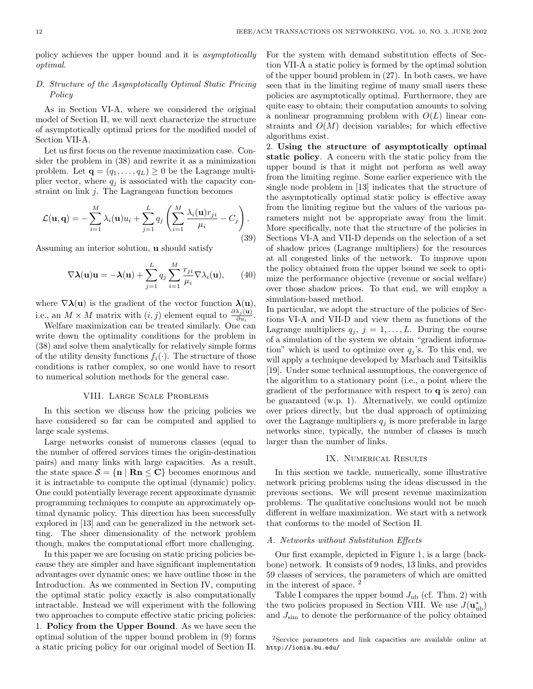policy achieves the upper bound and it is asymptotically optimal.

### D. Structure of the Asymptotically Optimal Static Pricing **Policy**

As in Section VI-A, where we considered the original model of Section II, we will next characterize the structure of asymptotically optimal prices for the modified model of Section VII-A.

Let us first focus on the revenue maximization case. Consider the problem in (38) and rewrite it as a minimization problem. Let  $\mathbf{q} = (q_1, \ldots, q_L) \geq 0$  be the Lagrange multiplier vector, where  $q_j$  is associated with the capacity constraint on link  $j$ . The Lagrangean function becomes

$$
\mathcal{L}(\mathbf{u}, \mathbf{q}) = -\sum_{i=1}^{M} \lambda_i(\mathbf{u}) u_i + \sum_{j=1}^{L} q_j \left( \sum_{i=1}^{M} \frac{\lambda_i(\mathbf{u}) r_{ji}}{\mu_i} - C_j \right).
$$
\n(39)

Assuming an interior solution, u should satisfy

$$
\nabla \lambda(\mathbf{u})\mathbf{u} = -\lambda(\mathbf{u}) + \sum_{j=1}^{L} q_j \sum_{i=1}^{M} \frac{r_{ji}}{\mu_i} \nabla \lambda_i(\mathbf{u}), \qquad (40)
$$

where  $\nabla \lambda(\mathbf{u})$  is the gradient of the vector function  $\lambda(\mathbf{u}),$ i.e., an  $M \times M$  matrix with  $(i, j)$  element equal to  $\frac{\partial \lambda_j(\mathbf{u})}{\partial u_i}$ .

Welfare maximization can be treated similarly. One can write down the optimality conditions for the problem in (38) and solve them analytically for relatively simple forms of the utility density functions  $f_i(\cdot)$ . The structure of those conditions is rather complex, so one would have to resort to numerical solution methods for the general case.

#### VIII. Large Scale Problems

In this section we discuss how the pricing policies we have considered so far can be computed and applied to large scale systems.

Large networks consist of numerous classes (equal to the number of offered services times the origin-destination pairs) and many links with large capacities. As a result, the state space  $S = \{n \mid \mathbf{R}n \leq C\}$  becomes enormous and it is intractable to compute the optimal (dynamic) policy. One could potentially leverage recent approximate dynamic programming techniques to compute an approximately optimal dynamic policy. This direction has been successfully explored in [13] and can be generalized in the network setting. The sheer dimensionality of the network problem though, makes the computational effort more challenging.

In this paper we are focusing on static pricing policies because they are simpler and have significant implementation advantages over dynamic ones; we have outline those in the Introduction. As we commented in Section IV, computing the optimal static policy exactly is also computationally intractable. Instead we will experiment with the following two approaches to compute effective static pricing policies: 1. Policy from the Upper Bound. As we have seen the optimal solution of the upper bound problem in (9) forms a static pricing policy for our original model of Section II.

For the system with demand substitution effects of Section VII-A a static policy is formed by the optimal solution of the upper bound problem in (27). In both cases, we have seen that in the limiting regime of many small users these policies are asymptotically optimal. Furthermore, they are quite easy to obtain; their computation amounts to solving a nonlinear programming problem with  $O(L)$  linear constraints and  $O(M)$  decision variables; for which effective algorithms exist.

2. Using the structure of asymptotically optimal static policy. A concern with the static policy from the upper bound is that it might not perform as well away from the limiting regime. Some earlier experience with the single node problem in [13] indicates that the structure of the asymptotically optimal static policy is effective away from the limiting regime but the values of the various parameters might not be appropriate away from the limit. More specifically, note that the structure of the policies in Sections VI-A and VII-D depends on the selection of a set of shadow prices (Lagrange multipliers) for the resources at all congested links of the network. To improve upon the policy obtained from the upper bound we seek to optimize the performance objective (revenue or social welfare) over those shadow prices. To that end, we will employ a simulation-based method.

In particular, we adopt the structure of the policies of Sections VI-A and VII-D and view them as functions of the Lagrange multipliers  $q_j, j = 1, \ldots, L$ . During the course of a simulation of the system we obtain "gradient information" which is used to optimize over  $q_i$ 's. To this end, we will apply a technique developed by Marbach and Tsitsiklis [19]. Under some technical assumptions, the convergence of the algorithm to a stationary point (i.e., a point where the gradient of the performance with respect to q is zero) can be guaranteed (w.p. 1). Alternatively, we could optimize over prices directly, but the dual approach of optimizing over the Lagrange multipliers  $q_i$  is more preferable in large networks since, typically, the number of classes is much larger than the number of links.

#### IX. Numerical Results

In this section we tackle, numerically, some illustrative network pricing problems using the ideas discussed in the previous sections. We will present revenue maximization problems. The qualitative conclusions would not be much different in welfare maximization. We start with a network that conforms to the model of Section II.

#### A. Networks without Substitution Effects

Our first example, depicted in Figure 1, is a large (backbone) network. It consists of 9 nodes, 13 links, and provides 59 classes of services, the parameters of which are omitted in the interest of space. <sup>2</sup>

Table I compares the upper bound  $J_{\text{ub}}$  (cf. Thm. 2) with the two policies proposed in Section VIII. We use  $J(\mathbf{u}_{ub}^*)$ and  $J_{\text{sim}}$  to denote the performance of the policy obtained

<sup>2</sup>Service parameters and link capacities are available online at http://ionia.bu.edu/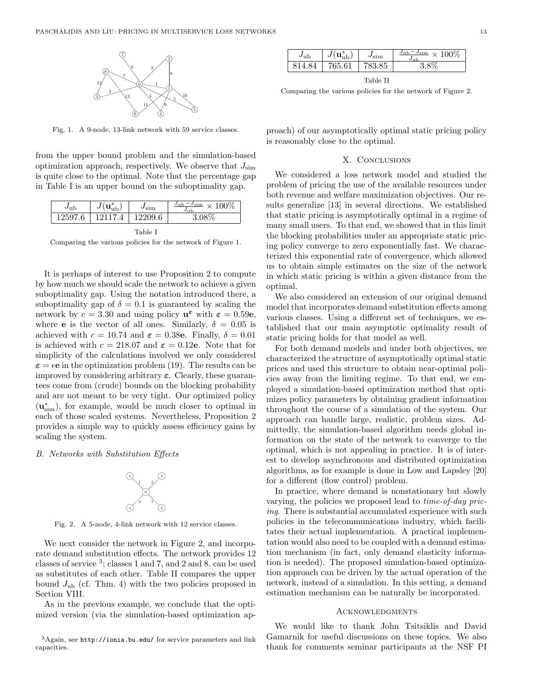

Fig. 1. A 9-node, 13-link network with 59 service classes.

from the upper bound problem and the simulation-based optimization approach, respectively. We observe that  $J_{\text{sim}}$ is quite close to the optimal. Note that the percentage gap in Table I is an upper bound on the suboptimality gap.

| $J_{\rm ub}$ | $I(\mathbf{u}_{\text{u},\text{h}}^*)$<br>J | $J_{\rm sim}$ | $\frac{J_{\rm ub}-J_{\rm sim}}{I} \times 100\%$<br>$J_{11}$ <sub>b</sub> |
|--------------|--------------------------------------------|---------------|--------------------------------------------------------------------------|
| 12597.6      | 12117.4                                    | 12209.6       | $3.08\%$                                                                 |
|              |                                            | Table         |                                                                          |

Comparing the various policies for the network of Figure 1.

It is perhaps of interest to use Proposition 2 to compute by how much we should scale the network to achieve a given suboptimality gap. Using the notation introduced there, a suboptimality gap of  $\delta = 0.1$  is guaranteed by scaling the network by  $c = 3.30$  and using policy  $\mathbf{u}^{\epsilon}$  with  $\epsilon = 0.59$ e, where **e** is the vector of all ones. Similarly,  $\delta = 0.05$  is achieved with  $c = 10.74$  and  $\varepsilon = 0.38$ e. Finally,  $\delta = 0.01$ is achieved with  $c = 218.07$  and  $\varepsilon = 0.12$ e. Note that for simplicity of the calculations involved we only considered  $\varepsilon = \epsilon e$  in the optimization problem (19). The results can be improved by considering arbitrary  $\varepsilon$ . Clearly, these guarantees come from (crude) bounds on the blocking probability and are not meant to be very tight. Our optimized policy  $(\mathbf{u}^*_{sim})$ , for example, would be much closer to optimal in each of those scaled systems. Nevertheless, Proposition 2 provides a simple way to quickly assess efficiency gains by scaling the system.

#### B. Networks with Substitution Effects



Fig. 2. A 5-node, 4-link network with 12 service classes.

We next consider the network in Figure 2, and incorporate demand substitution effects. The network provides 12 classes of service <sup>3</sup> ; classes 1 and 7, and 2 and 8, can be used as substitutes of each other. Table II compares the upper bound  $J_{ub}$  (cf. Thm. 4) with the two policies proposed in Section VIII.

As in the previous example, we conclude that the optimized version (via the simulation-based optimization ap-

| $_{\rm{ub}}$ | $\star$<br>ັ | sim | $\sim \sim$<br>sim<br>$\sigma$ ub |
|--------------|--------------|-----|-----------------------------------|
| ∼            | 765 61<br>ັ  |     | υ.                                |

Table II

Comparing the various policies for the network of Figure 2.

proach) of our asymptotically optimal static pricing policy is reasonably close to the optimal.

#### X. Conclusions

We considered a loss network model and studied the problem of pricing the use of the available resources under both revenue and welfare maximization objectives. Our results generalize [13] in several directions. We established that static pricing is asymptotically optimal in a regime of many small users. To that end, we showed that in this limit the blocking probabilities under an appropriate static pricing policy converge to zero exponentially fast. We characterized this exponential rate of convergence, which allowed us to obtain simple estimates on the size of the network in which static pricing is within a given distance from the optimal.

We also considered an extension of our original demand model that incorporates demand substitution effects among various classes. Using a different set of techniques, we established that our main asymptotic optimality result of static pricing holds for that model as well.

For both demand models and under both objectives, we characterized the structure of asymptotically optimal static prices and used this structure to obtain near-optimal policies away from the limiting regime. To that end, we employed a simulation-based optimization method that optimizes policy parameters by obtaining gradient information throughout the course of a simulation of the system. Our approach can handle large, realistic, problem sizes. Admittedly, the simulation-based algorithm needs global information on the state of the network to converge to the optimal, which is not appealing in practice. It is of interest to develop asynchronous and distributed optimization algorithms, as for example is done in Low and Lapsley [20] for a different (flow control) problem.

In practice, where demand is nonstationary but slowly varying, the policies we proposed lead to time-of-day pricing. There is substantial accumulated experience with such policies in the telecommunications industry, which facilitates their actual implementation. A practical implementation would also need to be coupled with a demand estimation mechanism (in fact, only demand elasticity information is needed). The proposed simulation-based optimization approach can be driven by the actual operation of the network, instead of a simulation. In this setting, a demand estimation mechanism can be naturally be incorporated.

#### **ACKNOWLEDGMENTS**

We would like to thank John Tsitsiklis and David Gamarnik for useful discussions on these topics. We also thank for comments seminar participants at the NSF PI

<sup>3</sup>Again, see http://ionia.bu.edu/ for service parameters and link capacities.